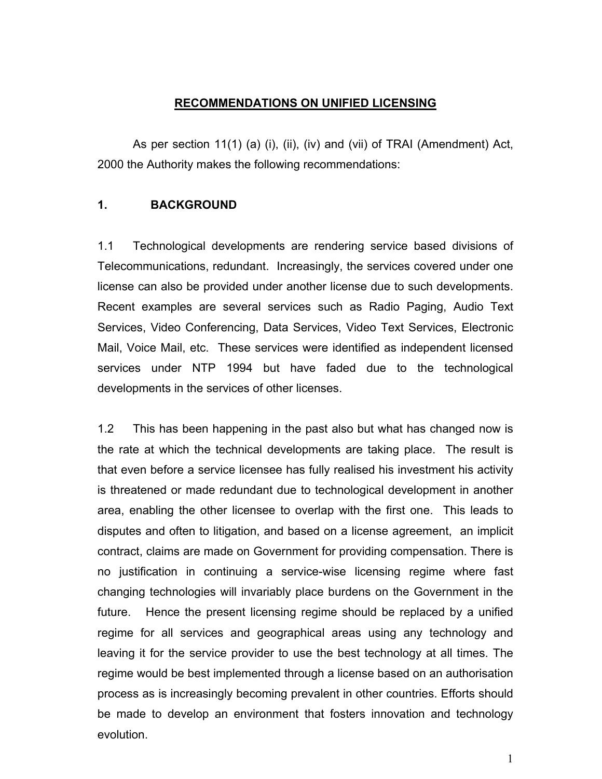## **RECOMMENDATIONS ON UNIFIED LICENSING**

As per section 11(1) (a) (i), (ii), (iv) and (vii) of TRAI (Amendment) Act, 2000 the Authority makes the following recommendations:

### **1. BACKGROUND**

1.1 Technological developments are rendering service based divisions of Telecommunications, redundant. Increasingly, the services covered under one license can also be provided under another license due to such developments. Recent examples are several services such as Radio Paging, Audio Text Services, Video Conferencing, Data Services, Video Text Services, Electronic Mail, Voice Mail, etc. These services were identified as independent licensed services under NTP 1994 but have faded due to the technological developments in the services of other licenses.

1.2 This has been happening in the past also but what has changed now is the rate at which the technical developments are taking place. The result is that even before a service licensee has fully realised his investment his activity is threatened or made redundant due to technological development in another area, enabling the other licensee to overlap with the first one. This leads to disputes and often to litigation, and based on a license agreement, an implicit contract, claims are made on Government for providing compensation. There is no justification in continuing a service-wise licensing regime where fast changing technologies will invariably place burdens on the Government in the future. Hence the present licensing regime should be replaced by a unified regime for all services and geographical areas using any technology and leaving it for the service provider to use the best technology at all times. The regime would be best implemented through a license based on an authorisation process as is increasingly becoming prevalent in other countries. Efforts should be made to develop an environment that fosters innovation and technology evolution.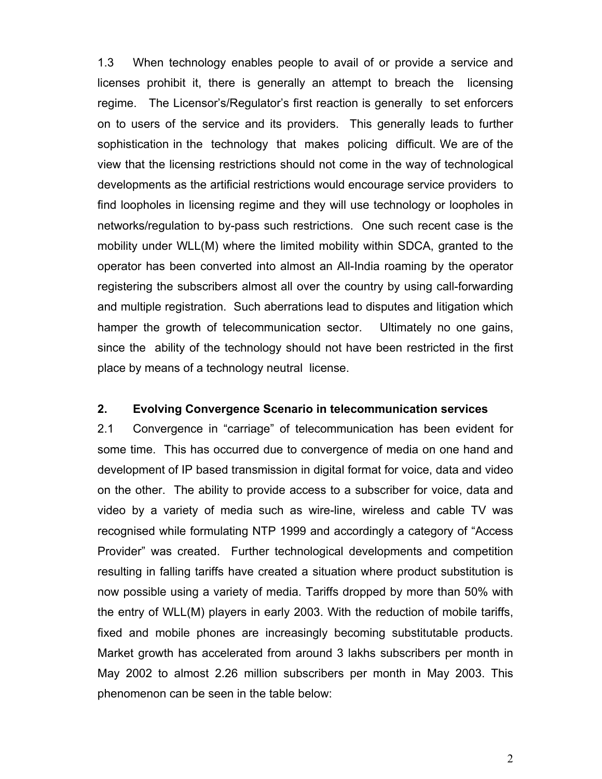1.3 When technology enables people to avail of or provide a service and licenses prohibit it, there is generally an attempt to breach the licensing regime. The Licensor's/Regulator's first reaction is generally to set enforcers on to users of the service and its providers. This generally leads to further sophistication in the technology that makes policing difficult. We are of the view that the licensing restrictions should not come in the way of technological developments as the artificial restrictions would encourage service providers to find loopholes in licensing regime and they will use technology or loopholes in networks/regulation to by-pass such restrictions. One such recent case is the mobility under WLL(M) where the limited mobility within SDCA, granted to the operator has been converted into almost an All-India roaming by the operator registering the subscribers almost all over the country by using call-forwarding and multiple registration. Such aberrations lead to disputes and litigation which hamper the growth of telecommunication sector. Ultimately no one gains, since the ability of the technology should not have been restricted in the first place by means of a technology neutral license.

#### **2. Evolving Convergence Scenario in telecommunication services**

2.1 Convergence in "carriage" of telecommunication has been evident for some time. This has occurred due to convergence of media on one hand and development of IP based transmission in digital format for voice, data and video on the other. The ability to provide access to a subscriber for voice, data and video by a variety of media such as wire-line, wireless and cable TV was recognised while formulating NTP 1999 and accordingly a category of "Access Provider" was created. Further technological developments and competition resulting in falling tariffs have created a situation where product substitution is now possible using a variety of media. Tariffs dropped by more than 50% with the entry of WLL(M) players in early 2003. With the reduction of mobile tariffs, fixed and mobile phones are increasingly becoming substitutable products. Market growth has accelerated from around 3 lakhs subscribers per month in May 2002 to almost 2.26 million subscribers per month in May 2003. This phenomenon can be seen in the table below: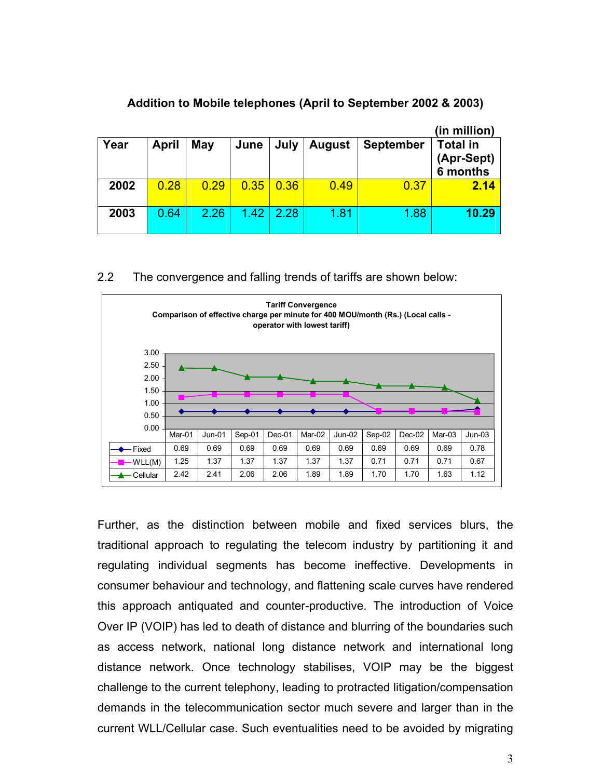|      |              |      |      |      |               |                  | (in million)                              |
|------|--------------|------|------|------|---------------|------------------|-------------------------------------------|
| Year | <b>April</b> | May  | June | July | <b>August</b> | <b>September</b> | <b>Total in</b><br>(Apr-Sept)<br>6 months |
| 2002 | 0.28         | 0.29 | 0.35 | 0.36 | 0.49          | 0.37             | 2.14                                      |
| 2003 | 0.64         | 2.26 | 1.42 | 2.28 | 1.81          | 1.88             | 10.29                                     |

## **Addition to Mobile telephones (April to September 2002 & 2003)**

2.2 The convergence and falling trends of tariffs are shown below:



Further, as the distinction between mobile and fixed services blurs, the traditional approach to regulating the telecom industry by partitioning it and regulating individual segments has become ineffective. Developments in consumer behaviour and technology, and flattening scale curves have rendered this approach antiquated and counter-productive. The introduction of Voice Over IP (VOIP) has led to death of distance and blurring of the boundaries such as access network, national long distance network and international long distance network. Once technology stabilises, VOIP may be the biggest challenge to the current telephony, leading to protracted litigation/compensation demands in the telecommunication sector much severe and larger than in the current WLL/Cellular case. Such eventualities need to be avoided by migrating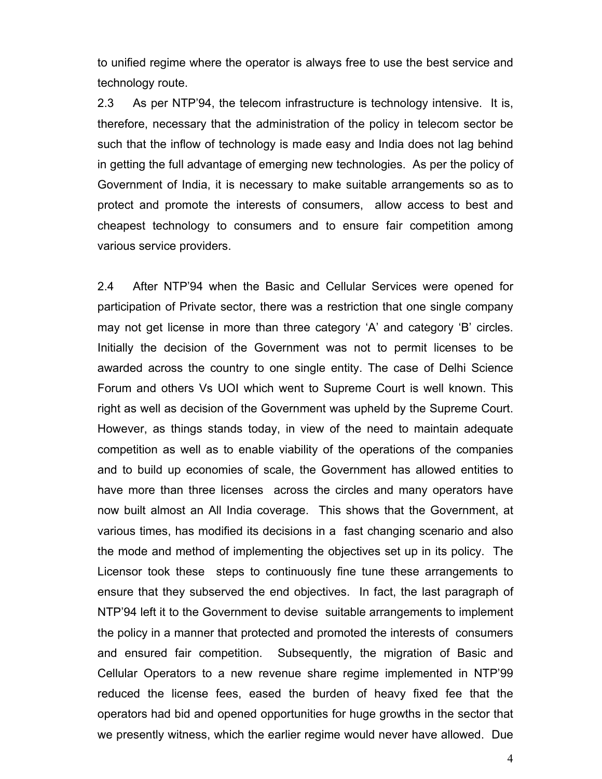to unified regime where the operator is always free to use the best service and technology route.

2.3 As per NTP'94, the telecom infrastructure is technology intensive. It is, therefore, necessary that the administration of the policy in telecom sector be such that the inflow of technology is made easy and India does not lag behind in getting the full advantage of emerging new technologies. As per the policy of Government of India, it is necessary to make suitable arrangements so as to protect and promote the interests of consumers, allow access to best and cheapest technology to consumers and to ensure fair competition among various service providers.

2.4 After NTP'94 when the Basic and Cellular Services were opened for participation of Private sector, there was a restriction that one single company may not get license in more than three category 'A' and category 'B' circles. Initially the decision of the Government was not to permit licenses to be awarded across the country to one single entity. The case of Delhi Science Forum and others Vs UOI which went to Supreme Court is well known. This right as well as decision of the Government was upheld by the Supreme Court. However, as things stands today, in view of the need to maintain adequate competition as well as to enable viability of the operations of the companies and to build up economies of scale, the Government has allowed entities to have more than three licenses across the circles and many operators have now built almost an All India coverage. This shows that the Government, at various times, has modified its decisions in a fast changing scenario and also the mode and method of implementing the objectives set up in its policy. The Licensor took these steps to continuously fine tune these arrangements to ensure that they subserved the end objectives. In fact, the last paragraph of NTP'94 left it to the Government to devise suitable arrangements to implement the policy in a manner that protected and promoted the interests of consumers and ensured fair competition. Subsequently, the migration of Basic and Cellular Operators to a new revenue share regime implemented in NTP'99 reduced the license fees, eased the burden of heavy fixed fee that the operators had bid and opened opportunities for huge growths in the sector that we presently witness, which the earlier regime would never have allowed. Due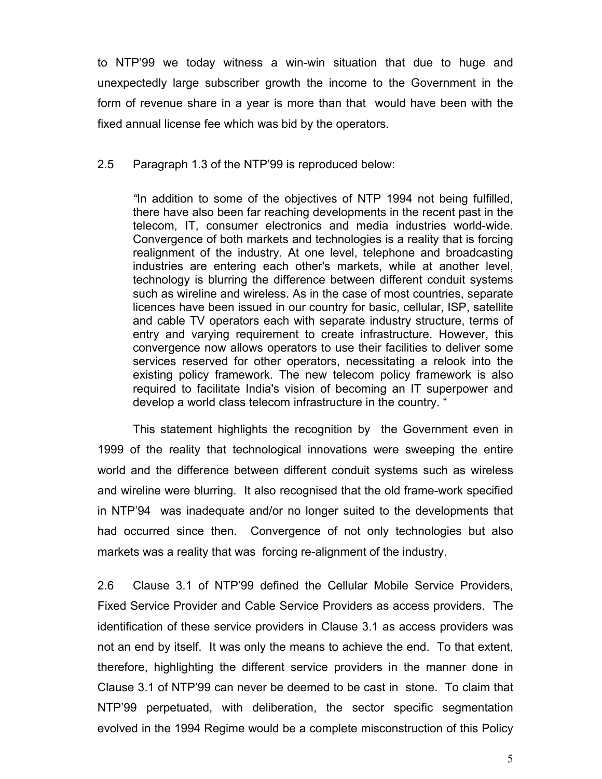to NTP'99 we today witness a win-win situation that due to huge and unexpectedly large subscriber growth the income to the Government in the form of revenue share in a year is more than that would have been with the fixed annual license fee which was bid by the operators.

2.5 Paragraph 1.3 of the NTP'99 is reproduced below:

*"*In addition to some of the objectives of NTP 1994 not being fulfilled, there have also been far reaching developments in the recent past in the telecom, IT, consumer electronics and media industries world-wide. Convergence of both markets and technologies is a reality that is forcing realignment of the industry. At one level, telephone and broadcasting industries are entering each other's markets, while at another level, technology is blurring the difference between different conduit systems such as wireline and wireless. As in the case of most countries, separate licences have been issued in our country for basic, cellular, ISP, satellite and cable TV operators each with separate industry structure, terms of entry and varying requirement to create infrastructure. However, this convergence now allows operators to use their facilities to deliver some services reserved for other operators, necessitating a relook into the existing policy framework. The new telecom policy framework is also required to facilitate India's vision of becoming an IT superpower and develop a world class telecom infrastructure in the country. "

This statement highlights the recognition by the Government even in 1999 of the reality that technological innovations were sweeping the entire world and the difference between different conduit systems such as wireless and wireline were blurring. It also recognised that the old frame-work specified in NTP'94 was inadequate and/or no longer suited to the developments that had occurred since then. Convergence of not only technologies but also markets was a reality that was forcing re-alignment of the industry.

2.6 Clause 3.1 of NTP'99 defined the Cellular Mobile Service Providers, Fixed Service Provider and Cable Service Providers as access providers. The identification of these service providers in Clause 3.1 as access providers was not an end by itself. It was only the means to achieve the end. To that extent, therefore, highlighting the different service providers in the manner done in Clause 3.1 of NTP'99 can never be deemed to be cast in stone. To claim that NTP'99 perpetuated, with deliberation, the sector specific segmentation evolved in the 1994 Regime would be a complete misconstruction of this Policy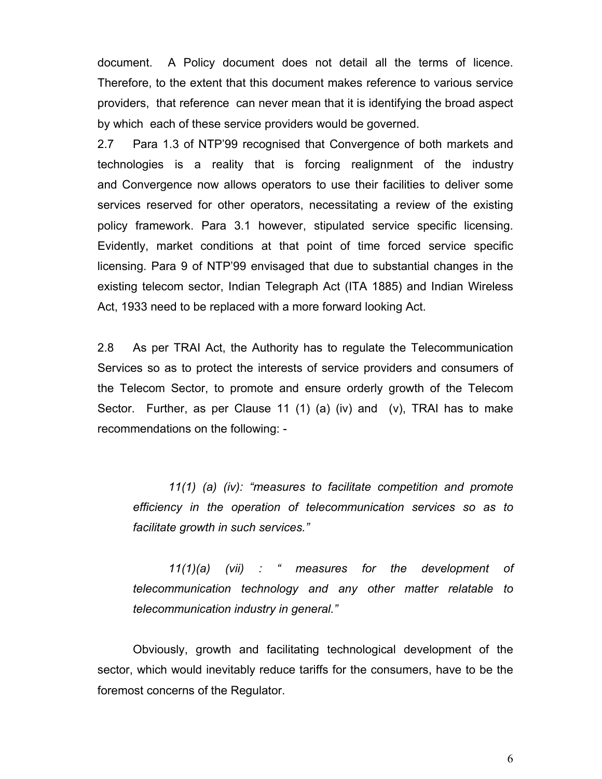document. A Policy document does not detail all the terms of licence. Therefore, to the extent that this document makes reference to various service providers, that reference can never mean that it is identifying the broad aspect by which each of these service providers would be governed.

2.7 Para 1.3 of NTP'99 recognised that Convergence of both markets and technologies is a reality that is forcing realignment of the industry and Convergence now allows operators to use their facilities to deliver some services reserved for other operators, necessitating a review of the existing policy framework. Para 3.1 however, stipulated service specific licensing. Evidently, market conditions at that point of time forced service specific licensing. Para 9 of NTP'99 envisaged that due to substantial changes in the existing telecom sector, Indian Telegraph Act (ITA 1885) and Indian Wireless Act, 1933 need to be replaced with a more forward looking Act.

2.8 As per TRAI Act, the Authority has to regulate the Telecommunication Services so as to protect the interests of service providers and consumers of the Telecom Sector, to promote and ensure orderly growth of the Telecom Sector. Further, as per Clause 11 (1) (a) (iv) and (v), TRAI has to make recommendations on the following: -

*11(1) (a) (iv): "measures to facilitate competition and promote efficiency in the operation of telecommunication services so as to facilitate growth in such services."* 

*11(1)(a) (vii) : " measures for the development of telecommunication technology and any other matter relatable to telecommunication industry in general."* 

Obviously, growth and facilitating technological development of the sector, which would inevitably reduce tariffs for the consumers, have to be the foremost concerns of the Regulator.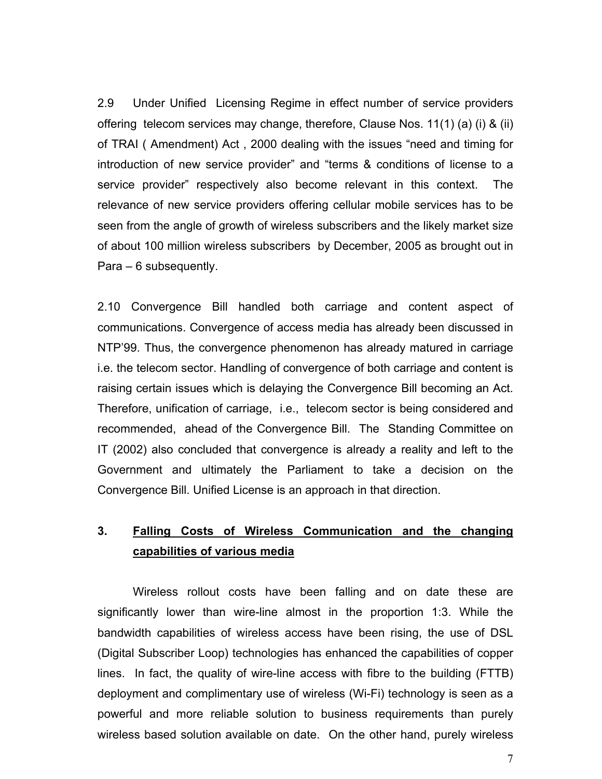2.9 Under Unified Licensing Regime in effect number of service providers offering telecom services may change, therefore, Clause Nos. 11(1) (a) (i) & (ii) of TRAI ( Amendment) Act , 2000 dealing with the issues "need and timing for introduction of new service provider" and "terms & conditions of license to a service provider" respectively also become relevant in this context. The relevance of new service providers offering cellular mobile services has to be seen from the angle of growth of wireless subscribers and the likely market size of about 100 million wireless subscribers by December, 2005 as brought out in Para – 6 subsequently.

2.10 Convergence Bill handled both carriage and content aspect of communications. Convergence of access media has already been discussed in NTP'99. Thus, the convergence phenomenon has already matured in carriage i.e. the telecom sector. Handling of convergence of both carriage and content is raising certain issues which is delaying the Convergence Bill becoming an Act. Therefore, unification of carriage, i.e., telecom sector is being considered and recommended, ahead of the Convergence Bill. The Standing Committee on IT (2002) also concluded that convergence is already a reality and left to the Government and ultimately the Parliament to take a decision on the Convergence Bill. Unified License is an approach in that direction.

## **3. Falling Costs of Wireless Communication and the changing capabilities of various media**

Wireless rollout costs have been falling and on date these are significantly lower than wire-line almost in the proportion 1:3. While the bandwidth capabilities of wireless access have been rising, the use of DSL (Digital Subscriber Loop) technologies has enhanced the capabilities of copper lines. In fact, the quality of wire-line access with fibre to the building (FTTB) deployment and complimentary use of wireless (Wi-Fi) technology is seen as a powerful and more reliable solution to business requirements than purely wireless based solution available on date. On the other hand, purely wireless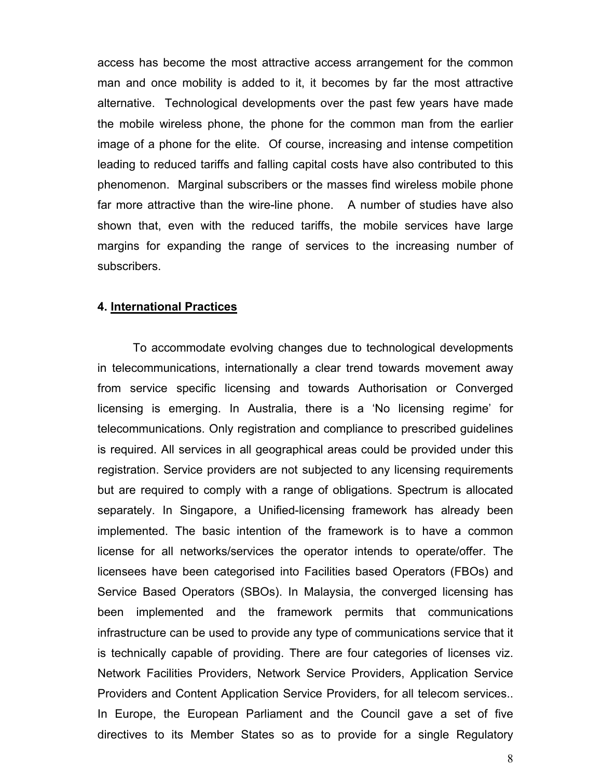access has become the most attractive access arrangement for the common man and once mobility is added to it, it becomes by far the most attractive alternative. Technological developments over the past few years have made the mobile wireless phone, the phone for the common man from the earlier image of a phone for the elite. Of course, increasing and intense competition leading to reduced tariffs and falling capital costs have also contributed to this phenomenon. Marginal subscribers or the masses find wireless mobile phone far more attractive than the wire-line phone. A number of studies have also shown that, even with the reduced tariffs, the mobile services have large margins for expanding the range of services to the increasing number of subscribers.

#### **4. International Practices**

To accommodate evolving changes due to technological developments in telecommunications, internationally a clear trend towards movement away from service specific licensing and towards Authorisation or Converged licensing is emerging. In Australia, there is a 'No licensing regime' for telecommunications. Only registration and compliance to prescribed guidelines is required. All services in all geographical areas could be provided under this registration. Service providers are not subjected to any licensing requirements but are required to comply with a range of obligations. Spectrum is allocated separately. In Singapore, a Unified-licensing framework has already been implemented. The basic intention of the framework is to have a common license for all networks/services the operator intends to operate/offer. The licensees have been categorised into Facilities based Operators (FBOs) and Service Based Operators (SBOs). In Malaysia, the converged licensing has been implemented and the framework permits that communications infrastructure can be used to provide any type of communications service that it is technically capable of providing. There are four categories of licenses viz. Network Facilities Providers, Network Service Providers, Application Service Providers and Content Application Service Providers, for all telecom services.. In Europe, the European Parliament and the Council gave a set of five directives to its Member States so as to provide for a single Regulatory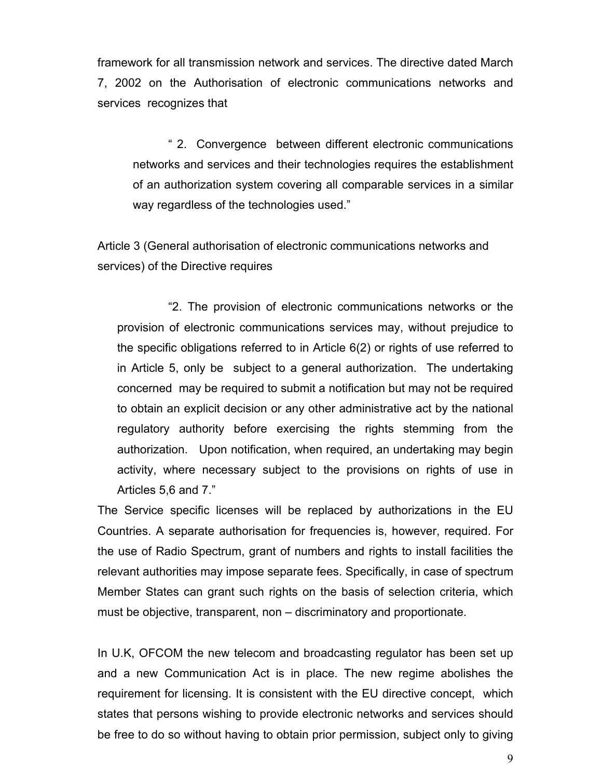framework for all transmission network and services. The directive dated March 7, 2002 on the Authorisation of electronic communications networks and services recognizes that

" 2. Convergence between different electronic communications networks and services and their technologies requires the establishment of an authorization system covering all comparable services in a similar way regardless of the technologies used."

Article 3 (General authorisation of electronic communications networks and services) of the Directive requires

"2. The provision of electronic communications networks or the provision of electronic communications services may, without prejudice to the specific obligations referred to in Article 6(2) or rights of use referred to in Article 5, only be subject to a general authorization. The undertaking concerned may be required to submit a notification but may not be required to obtain an explicit decision or any other administrative act by the national regulatory authority before exercising the rights stemming from the authorization. Upon notification, when required, an undertaking may begin activity, where necessary subject to the provisions on rights of use in Articles 5,6 and 7."

The Service specific licenses will be replaced by authorizations in the EU Countries. A separate authorisation for frequencies is, however, required. For the use of Radio Spectrum, grant of numbers and rights to install facilities the relevant authorities may impose separate fees. Specifically, in case of spectrum Member States can grant such rights on the basis of selection criteria, which must be objective, transparent, non – discriminatory and proportionate.

In U.K, OFCOM the new telecom and broadcasting regulator has been set up and a new Communication Act is in place. The new regime abolishes the requirement for licensing. It is consistent with the EU directive concept, which states that persons wishing to provide electronic networks and services should be free to do so without having to obtain prior permission, subject only to giving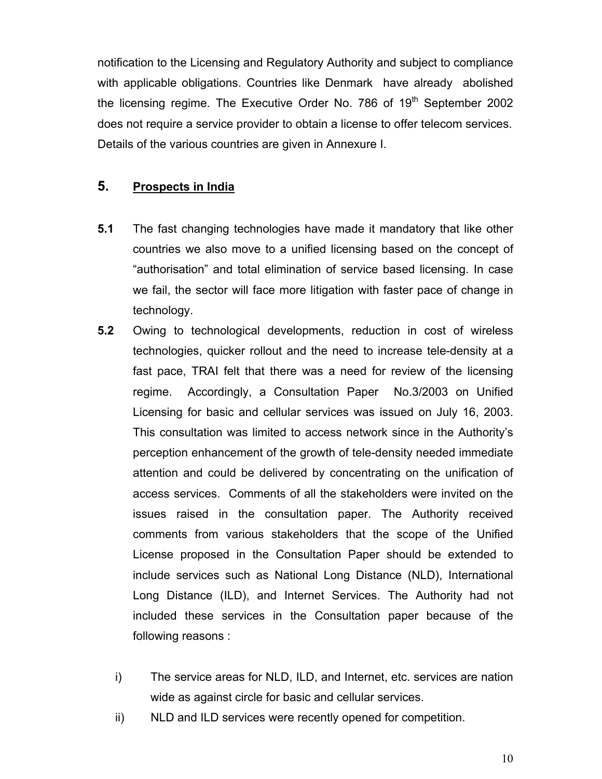notification to the Licensing and Regulatory Authority and subject to compliance with applicable obligations. Countries like Denmark have already abolished the licensing regime. The Executive Order No. 786 of  $19<sup>th</sup>$  September 2002 does not require a service provider to obtain a license to offer telecom services. Details of the various countries are given in Annexure I.

## **5. Prospects in India**

- **5.1** The fast changing technologies have made it mandatory that like other countries we also move to a unified licensing based on the concept of "authorisation" and total elimination of service based licensing. In case we fail, the sector will face more litigation with faster pace of change in technology.
- **5.2** Owing to technological developments, reduction in cost of wireless technologies, quicker rollout and the need to increase tele-density at a fast pace, TRAI felt that there was a need for review of the licensing regime. Accordingly, a Consultation Paper No.3/2003 on Unified Licensing for basic and cellular services was issued on July 16, 2003. This consultation was limited to access network since in the Authority's perception enhancement of the growth of tele-density needed immediate attention and could be delivered by concentrating on the unification of access services. Comments of all the stakeholders were invited on the issues raised in the consultation paper. The Authority received comments from various stakeholders that the scope of the Unified License proposed in the Consultation Paper should be extended to include services such as National Long Distance (NLD), International Long Distance (ILD), and Internet Services. The Authority had not included these services in the Consultation paper because of the following reasons :
	- i) The service areas for NLD, ILD, and Internet, etc. services are nation wide as against circle for basic and cellular services.
	- ii) NLD and ILD services were recently opened for competition.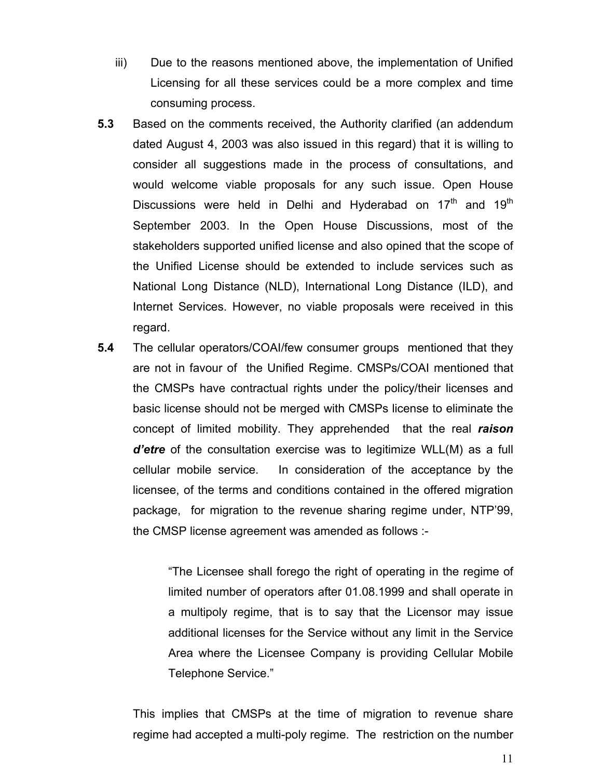- iii) Due to the reasons mentioned above, the implementation of Unified Licensing for all these services could be a more complex and time consuming process.
- **5.3** Based on the comments received, the Authority clarified (an addendum dated August 4, 2003 was also issued in this regard) that it is willing to consider all suggestions made in the process of consultations, and would welcome viable proposals for any such issue. Open House Discussions were held in Delhi and Hyderabad on  $17<sup>th</sup>$  and  $19<sup>th</sup>$ September 2003. In the Open House Discussions, most of the stakeholders supported unified license and also opined that the scope of the Unified License should be extended to include services such as National Long Distance (NLD), International Long Distance (ILD), and Internet Services. However, no viable proposals were received in this regard.
- **5.4** The cellular operators/COAI/few consumer groups mentioned that they are not in favour of the Unified Regime. CMSPs/COAI mentioned that the CMSPs have contractual rights under the policy/their licenses and basic license should not be merged with CMSPs license to eliminate the concept of limited mobility. They apprehended that the real *raison d'etre* of the consultation exercise was to legitimize WLL(M) as a full cellular mobile service. In consideration of the acceptance by the licensee, of the terms and conditions contained in the offered migration package, for migration to the revenue sharing regime under, NTP'99, the CMSP license agreement was amended as follows :-

"The Licensee shall forego the right of operating in the regime of limited number of operators after 01.08.1999 and shall operate in a multipoly regime, that is to say that the Licensor may issue additional licenses for the Service without any limit in the Service Area where the Licensee Company is providing Cellular Mobile Telephone Service."

This implies that CMSPs at the time of migration to revenue share regime had accepted a multi-poly regime. The restriction on the number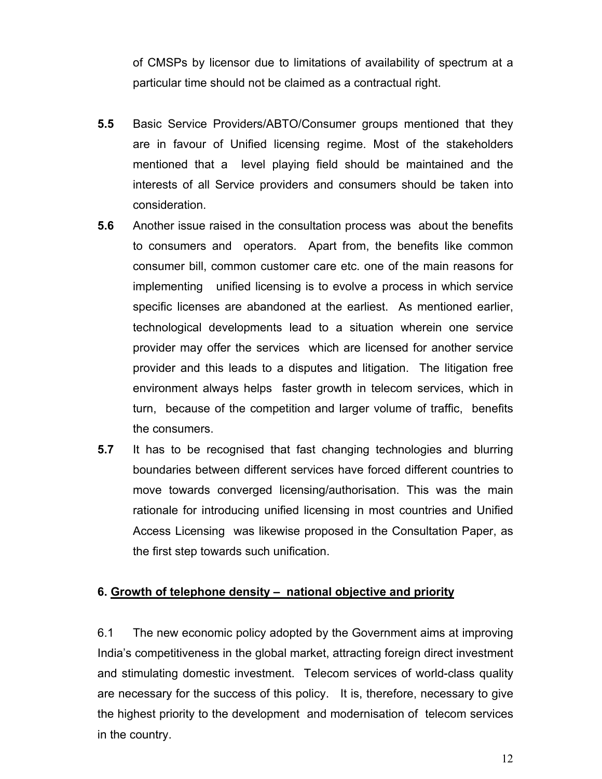of CMSPs by licensor due to limitations of availability of spectrum at a particular time should not be claimed as a contractual right.

- **5.5** Basic Service Providers/ABTO/Consumer groups mentioned that they are in favour of Unified licensing regime. Most of the stakeholders mentioned that a level playing field should be maintained and the interests of all Service providers and consumers should be taken into consideration.
- **5.6** Another issue raised in the consultation process was about the benefits to consumers and operators. Apart from, the benefits like common consumer bill, common customer care etc. one of the main reasons for implementing unified licensing is to evolve a process in which service specific licenses are abandoned at the earliest. As mentioned earlier, technological developments lead to a situation wherein one service provider may offer the services which are licensed for another service provider and this leads to a disputes and litigation. The litigation free environment always helps faster growth in telecom services, which in turn, because of the competition and larger volume of traffic, benefits the consumers.
- **5.7** It has to be recognised that fast changing technologies and blurring boundaries between different services have forced different countries to move towards converged licensing/authorisation. This was the main rationale for introducing unified licensing in most countries and Unified Access Licensing was likewise proposed in the Consultation Paper, as the first step towards such unification.

## **6. Growth of telephone density – national objective and priority**

6.1 The new economic policy adopted by the Government aims at improving India's competitiveness in the global market, attracting foreign direct investment and stimulating domestic investment. Telecom services of world-class quality are necessary for the success of this policy. It is, therefore, necessary to give the highest priority to the development and modernisation of telecom services in the country.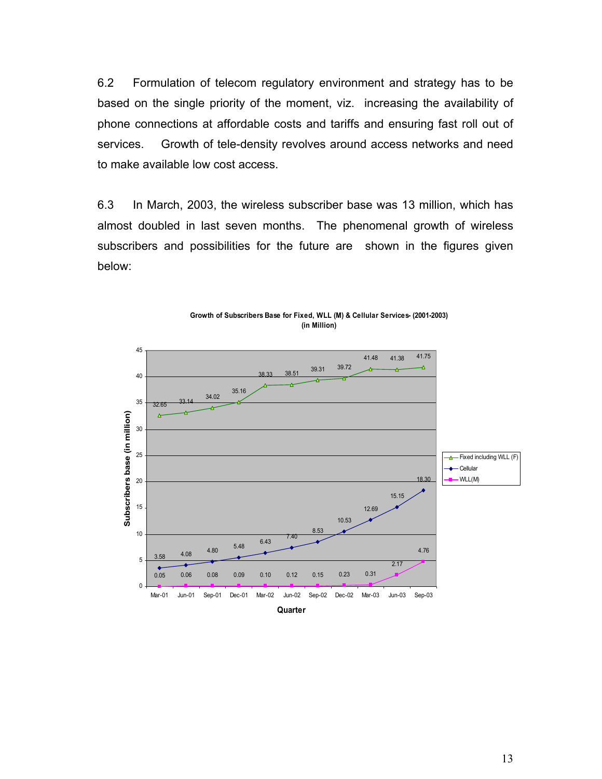6.2 Formulation of telecom regulatory environment and strategy has to be based on the single priority of the moment, viz. increasing the availability of phone connections at affordable costs and tariffs and ensuring fast roll out of services. Growth of tele-density revolves around access networks and need to make available low cost access.

6.3 In March, 2003, the wireless subscriber base was 13 million, which has almost doubled in last seven months. The phenomenal growth of wireless subscribers and possibilities for the future are shown in the figures given below:



**Growth of Subscribers Base for Fixed, WLL (M) & Cellular Services- (2001-2003) (in Million)**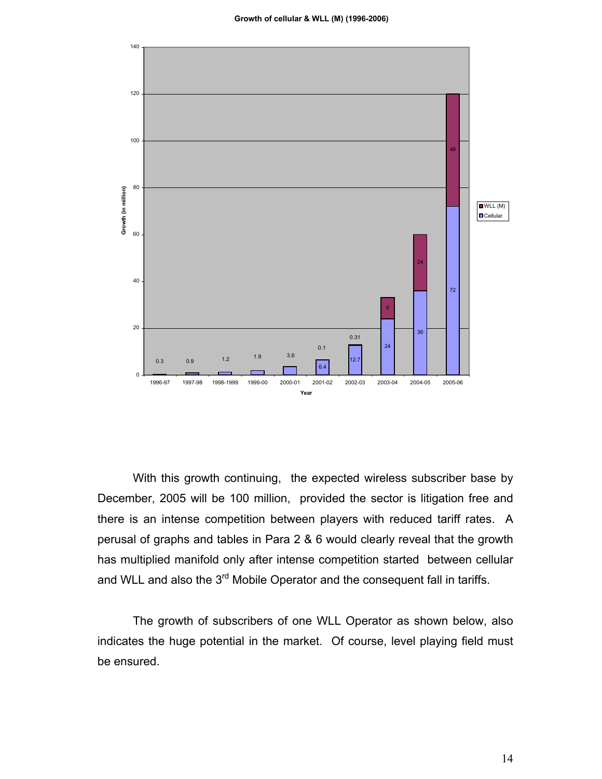

With this growth continuing, the expected wireless subscriber base by December, 2005 will be 100 million, provided the sector is litigation free and there is an intense competition between players with reduced tariff rates. A perusal of graphs and tables in Para 2 & 6 would clearly reveal that the growth has multiplied manifold only after intense competition started between cellular and WLL and also the 3<sup>rd</sup> Mobile Operator and the consequent fall in tariffs.

The growth of subscribers of one WLL Operator as shown below, also indicates the huge potential in the market. Of course, level playing field must be ensured.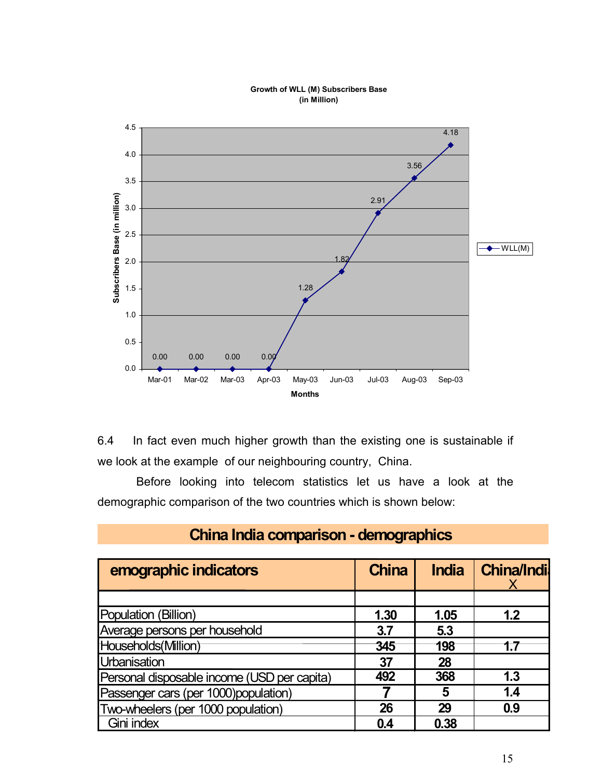

#### **Growth of WLL (M) Subscribers Base (in Million)**

6.4 In fact even much higher growth than the existing one is sustainable if we look at the example of our neighbouring country, China.

Before looking into telecom statistics let us have a look at the demographic comparison of the two countries which is shown below:

| emographic indicators                       | <b>China</b> | <b>India</b> | <b>China/Indil</b> |
|---------------------------------------------|--------------|--------------|--------------------|
|                                             |              |              |                    |
| Population (Billion)                        | 1.30         | 1.05         | 1.2                |
| Average persons per household               | 3.7          | 5.3          |                    |
| Households(Million)                         | 345          | 198          |                    |
| Urbanisation                                | 37           | 28           |                    |
| Personal disposable income (USD per capita) | 492          | 368          | 1.3                |
| Passenger cars (per 1000)population)        |              | 5            | 1.4                |
| Two-wheelers (per 1000 population)          | 26           | 29           | 0.9                |
| Gini index                                  | 0.4          | 0.38         |                    |

# **China India comparison - demographics**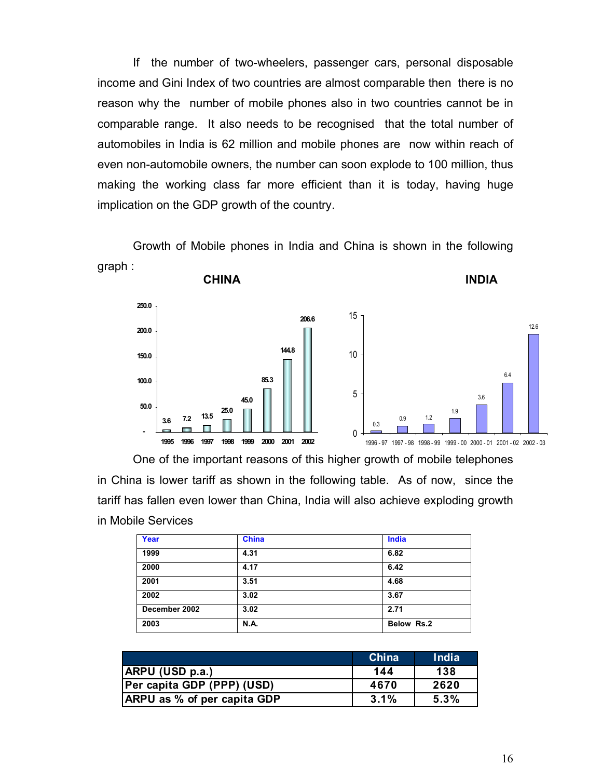If the number of two-wheelers, passenger cars, personal disposable income and Gini Index of two countries are almost comparable then there is no reason why the number of mobile phones also in two countries cannot be in comparable range. It also needs to be recognised that the total number of automobiles in India is 62 million and mobile phones are now within reach of even non-automobile owners, the number can soon explode to 100 million, thus making the working class far more efficient than it is today, having huge implication on the GDP growth of the country.

Growth of Mobile phones in India and China is shown in the following graph :

**CHINA** INDIA



One of the important reasons of this higher growth of mobile telephones in China is lower tariff as shown in the following table. As of now, since the tariff has fallen even lower than China, India will also achieve exploding growth in Mobile Services

| Year          | <b>China</b> | India      |
|---------------|--------------|------------|
| 1999          | 4.31         | 6.82       |
| 2000          | 4.17         | 6.42       |
| 2001          | 3.51         | 4.68       |
| 2002          | 3.02         | 3.67       |
| December 2002 | 3.02         | 2.71       |
| 2003          | <b>N.A.</b>  | Below Rs.2 |

|                                    | China | <b>India</b> |
|------------------------------------|-------|--------------|
| ARPU (USD p.a.)                    | 144   | 138          |
| Per capita GDP (PPP) (USD)         | 4670  | 2620         |
| <b>ARPU</b> as % of per capita GDP | 3.1%  | 5.3%         |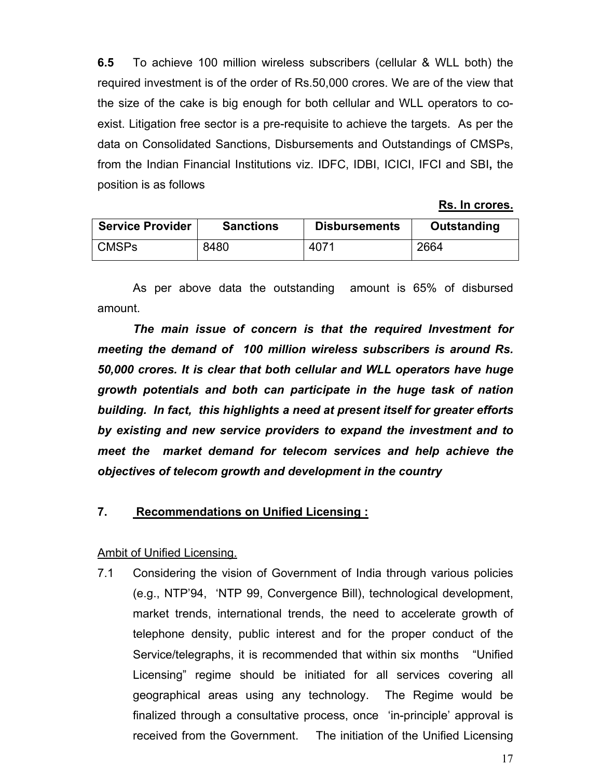**6.5** To achieve 100 million wireless subscribers (cellular & WLL both) the required investment is of the order of Rs.50,000 crores. We are of the view that the size of the cake is big enough for both cellular and WLL operators to coexist. Litigation free sector is a pre-requisite to achieve the targets. As per the data on Consolidated Sanctions, Disbursements and Outstandings of CMSPs, from the Indian Financial Institutions viz. IDFC, IDBI, ICICI, IFCI and SBI**,** the position is as follows

**Rs. In crores.**

| <b>Service Provider</b> | <b>Sanctions</b> | <b>Disbursements</b> | Outstanding |
|-------------------------|------------------|----------------------|-------------|
| <b>CMSPs</b>            | 8480             | 4071                 | 2664        |

As per above data the outstanding amount is 65% of disbursed amount.

The main *issue of concern is that the required Investment for meeting the demand of 100 million wireless subscribers is around Rs. 50,000 crores. It is clear that both cellular and WLL operators have huge growth potentials and both can participate in the huge task of nation building. In fact, this highlights a need at present itself for greater efforts by existing and new service providers to expand the investment and to meet the market demand for telecom services and help achieve the objectives of telecom growth and development in the country* 

#### **7. Recommendations on Unified Licensing :**

#### Ambit of Unified Licensing.

7.1 Considering the vision of Government of India through various policies (e.g., NTP'94, 'NTP 99, Convergence Bill), technological development, market trends, international trends, the need to accelerate growth of telephone density, public interest and for the proper conduct of the Service/telegraphs, it is recommended that within six months "Unified Licensing" regime should be initiated for all services covering all geographical areas using any technology. The Regime would be finalized through a consultative process, once 'in-principle' approval is received from the Government.The initiation of the Unified Licensing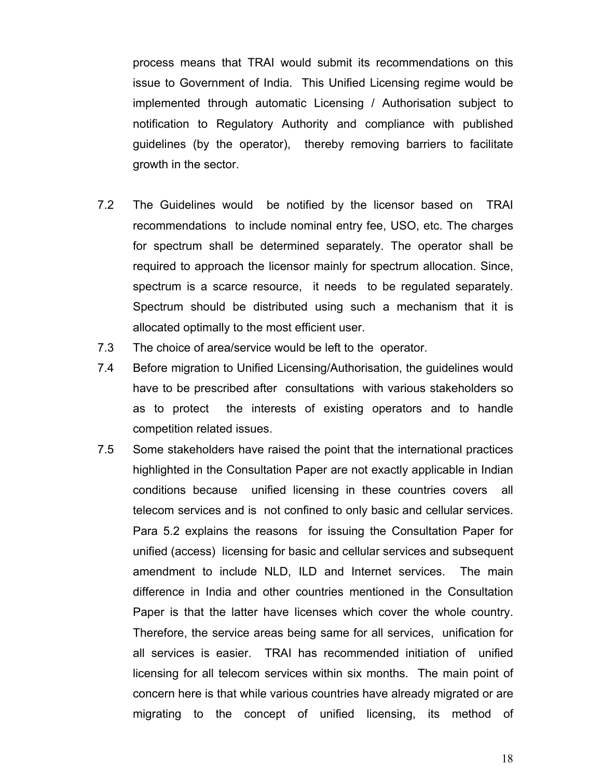process means that TRAI would submit its recommendations on this issue to Government of India. This Unified Licensing regime would be implemented through automatic Licensing / Authorisation subject to notification to Regulatory Authority and compliance with published guidelines (by the operator), thereby removing barriers to facilitate growth in the sector.

- 7.2 The Guidelines would be notified by the licensor based on TRAI recommendations to include nominal entry fee, USO, etc. The charges for spectrum shall be determined separately. The operator shall be required to approach the licensor mainly for spectrum allocation. Since, spectrum is a scarce resource, it needs to be regulated separately. Spectrum should be distributed using such a mechanism that it is allocated optimally to the most efficient user.
- 7.3 The choice of area/service would be left to the operator.
- 7.4 Before migration to Unified Licensing/Authorisation, the guidelines would have to be prescribed after consultations with various stakeholders so as to protect the interests of existing operators and to handle competition related issues.
- 7.5 Some stakeholders have raised the point that the international practices highlighted in the Consultation Paper are not exactly applicable in Indian conditions because unified licensing in these countries covers all telecom services and is not confined to only basic and cellular services. Para 5.2 explains the reasons for issuing the Consultation Paper for unified (access) licensing for basic and cellular services and subsequent amendment to include NLD, ILD and Internet services. The main difference in India and other countries mentioned in the Consultation Paper is that the latter have licenses which cover the whole country. Therefore, the service areas being same for all services, unification for all services is easier. TRAI has recommended initiation of unified licensing for all telecom services within six months. The main point of concern here is that while various countries have already migrated or are migrating to the concept of unified licensing, its method of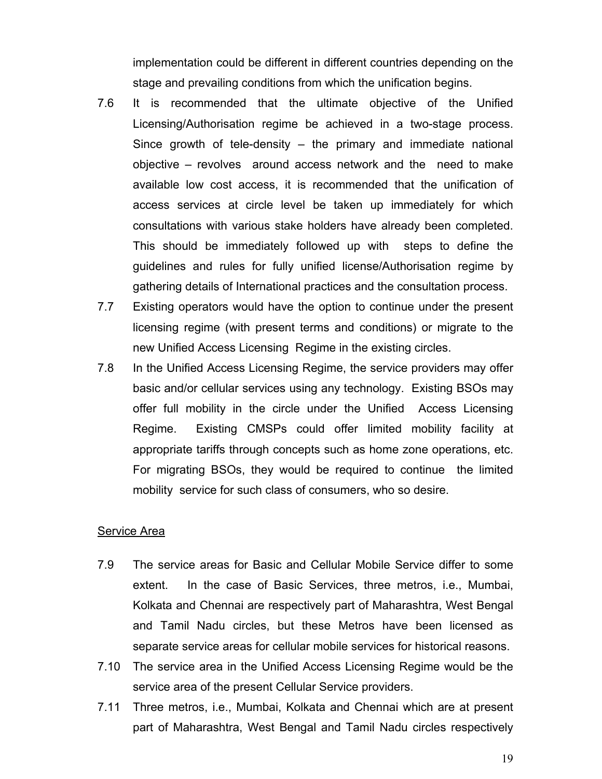implementation could be different in different countries depending on the stage and prevailing conditions from which the unification begins.

- 7.6 It is recommended that the ultimate objective of the Unified Licensing/Authorisation regime be achieved in a two-stage process. Since growth of tele-density – the primary and immediate national objective – revolves around access network and the need to make available low cost access, it is recommended that the unification of access services at circle level be taken up immediately for which consultations with various stake holders have already been completed. This should be immediately followed up with steps to define the guidelines and rules for fully unified license/Authorisation regime by gathering details of International practices and the consultation process.
- 7.7 Existing operators would have the option to continue under the present licensing regime (with present terms and conditions) or migrate to the new Unified Access Licensing Regime in the existing circles.
- 7.8 In the Unified Access Licensing Regime, the service providers may offer basic and/or cellular services using any technology. Existing BSOs may offer full mobility in the circle under the Unified Access Licensing Regime. Existing CMSPs could offer limited mobility facility at appropriate tariffs through concepts such as home zone operations, etc. For migrating BSOs, they would be required to continue the limited mobility service for such class of consumers, who so desire.

#### Service Area

- 7.9 The service areas for Basic and Cellular Mobile Service differ to some extent. In the case of Basic Services, three metros, i.e., Mumbai, Kolkata and Chennai are respectively part of Maharashtra, West Bengal and Tamil Nadu circles, but these Metros have been licensed as separate service areas for cellular mobile services for historical reasons.
- 7.10 The service area in the Unified Access Licensing Regime would be the service area of the present Cellular Service providers.
- 7.11 Three metros, i.e., Mumbai, Kolkata and Chennai which are at present part of Maharashtra, West Bengal and Tamil Nadu circles respectively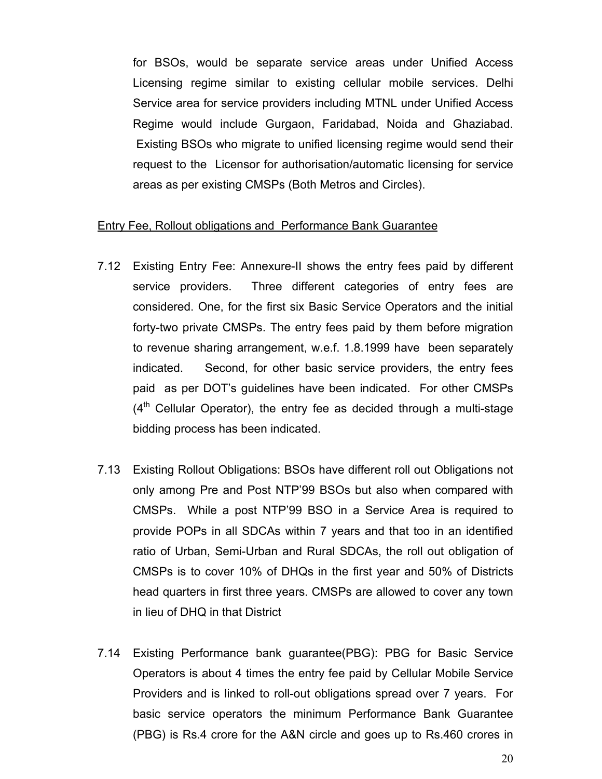for BSOs, would be separate service areas under Unified Access Licensing regime similar to existing cellular mobile services. Delhi Service area for service providers including MTNL under Unified Access Regime would include Gurgaon, Faridabad, Noida and Ghaziabad. Existing BSOs who migrate to unified licensing regime would send their request to the Licensor for authorisation/automatic licensing for service areas as per existing CMSPs (Both Metros and Circles).

#### Entry Fee, Rollout obligations and Performance Bank Guarantee

- 7.12 Existing Entry Fee: Annexure-II shows the entry fees paid by different service providers. Three different categories of entry fees are considered. One, for the first six Basic Service Operators and the initial forty-two private CMSPs. The entry fees paid by them before migration to revenue sharing arrangement, w.e.f. 1.8.1999 have been separately indicated. Second, for other basic service providers, the entry fees paid as per DOT's guidelines have been indicated. For other CMSPs  $(4<sup>th</sup>$  Cellular Operator), the entry fee as decided through a multi-stage bidding process has been indicated.
- 7.13 Existing Rollout Obligations: BSOs have different roll out Obligations not only among Pre and Post NTP'99 BSOs but also when compared with CMSPs. While a post NTP'99 BSO in a Service Area is required to provide POPs in all SDCAs within 7 years and that too in an identified ratio of Urban, Semi-Urban and Rural SDCAs, the roll out obligation of CMSPs is to cover 10% of DHQs in the first year and 50% of Districts head quarters in first three years. CMSPs are allowed to cover any town in lieu of DHQ in that District
- 7.14 Existing Performance bank guarantee(PBG): PBG for Basic Service Operators is about 4 times the entry fee paid by Cellular Mobile Service Providers and is linked to roll-out obligations spread over 7 years. For basic service operators the minimum Performance Bank Guarantee (PBG) is Rs.4 crore for the A&N circle and goes up to Rs.460 crores in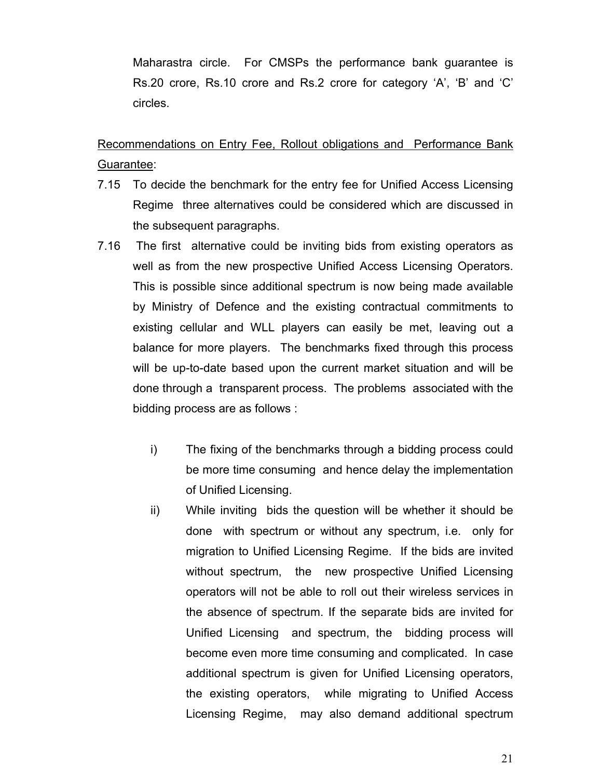Maharastra circle. For CMSPs the performance bank guarantee is Rs.20 crore, Rs.10 crore and Rs.2 crore for category 'A', 'B' and 'C' circles.

Recommendations on Entry Fee, Rollout obligations and Performance Bank Guarantee:

- 7.15 To decide the benchmark for the entry fee for Unified Access Licensing Regime three alternatives could be considered which are discussed in the subsequent paragraphs.
- 7.16 The first alternative could be inviting bids from existing operators as well as from the new prospective Unified Access Licensing Operators. This is possible since additional spectrum is now being made available by Ministry of Defence and the existing contractual commitments to existing cellular and WLL players can easily be met, leaving out a balance for more players. The benchmarks fixed through this process will be up-to-date based upon the current market situation and will be done through a transparent process. The problems associated with the bidding process are as follows :
	- i) The fixing of the benchmarks through a bidding process could be more time consuming and hence delay the implementation of Unified Licensing.
	- ii) While inviting bids the question will be whether it should be done with spectrum or without any spectrum, i.e. only for migration to Unified Licensing Regime. If the bids are invited without spectrum, the new prospective Unified Licensing operators will not be able to roll out their wireless services in the absence of spectrum. If the separate bids are invited for Unified Licensing and spectrum, the bidding process will become even more time consuming and complicated. In case additional spectrum is given for Unified Licensing operators, the existing operators, while migrating to Unified Access Licensing Regime, may also demand additional spectrum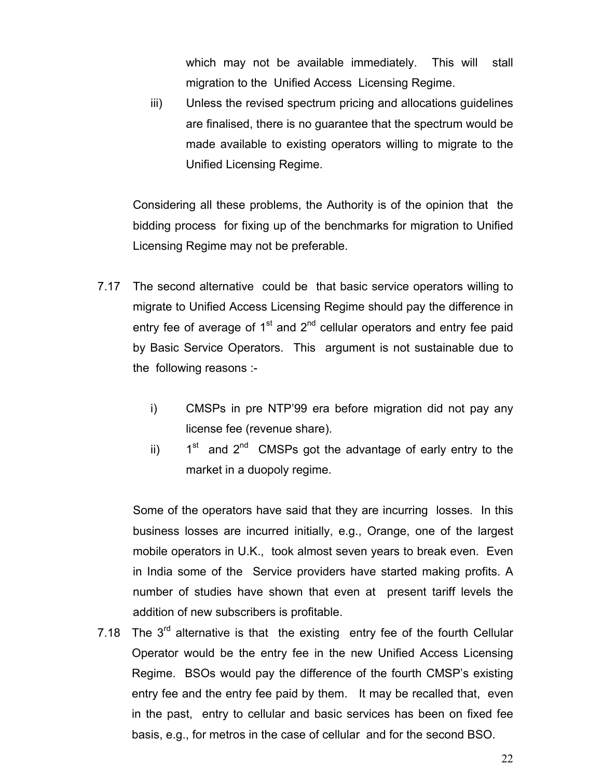which may not be available immediately. This will stall migration to the Unified Access Licensing Regime.

iii) Unless the revised spectrum pricing and allocations guidelines are finalised, there is no guarantee that the spectrum would be made available to existing operators willing to migrate to the Unified Licensing Regime.

Considering all these problems, the Authority is of the opinion that the bidding process for fixing up of the benchmarks for migration to Unified Licensing Regime may not be preferable.

- 7.17 The second alternative could be that basic service operators willing to migrate to Unified Access Licensing Regime should pay the difference in entry fee of average of  $1<sup>st</sup>$  and  $2<sup>nd</sup>$  cellular operators and entry fee paid by Basic Service Operators. This argument is not sustainable due to the following reasons :
	- i) CMSPs in pre NTP'99 era before migration did not pay any license fee (revenue share).
	- ii)  $1<sup>st</sup>$  and  $2<sup>nd</sup>$  CMSPs got the advantage of early entry to the market in a duopoly regime.

Some of the operators have said that they are incurring losses. In this business losses are incurred initially, e.g., Orange, one of the largest mobile operators in U.K., took almost seven years to break even. Even in India some of the Service providers have started making profits. A number of studies have shown that even at present tariff levels the addition of new subscribers is profitable.

7.18 The  $3<sup>rd</sup>$  alternative is that the existing entry fee of the fourth Cellular Operator would be the entry fee in the new Unified Access Licensing Regime. BSOs would pay the difference of the fourth CMSP's existing entry fee and the entry fee paid by them. It may be recalled that, even in the past, entry to cellular and basic services has been on fixed fee basis, e.g., for metros in the case of cellular and for the second BSO.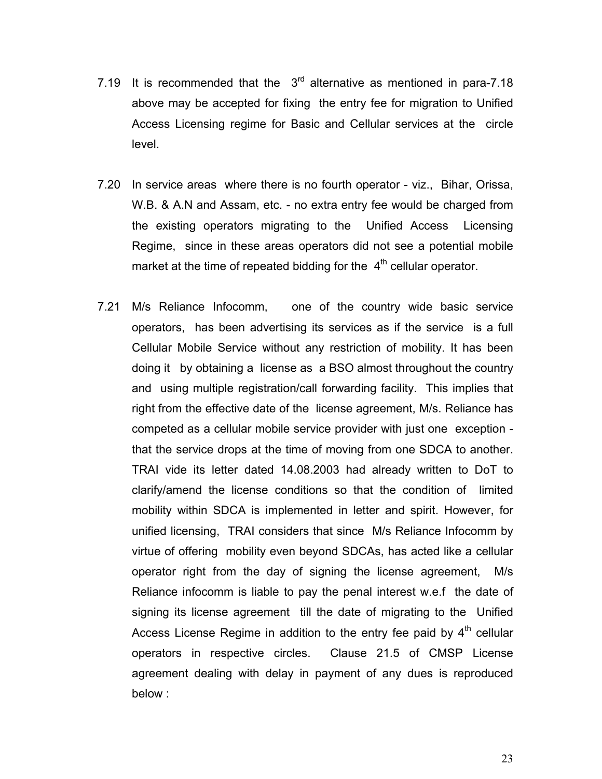- 7.19 It is recommended that the  $3<sup>rd</sup>$  alternative as mentioned in para-7.18 above may be accepted for fixing the entry fee for migration to Unified Access Licensing regime for Basic and Cellular services at the circle level.
- 7.20 In service areas where there is no fourth operator viz., Bihar, Orissa, W.B. & A.N and Assam, etc. - no extra entry fee would be charged from the existing operators migrating to the Unified Access Licensing Regime, since in these areas operators did not see a potential mobile market at the time of repeated bidding for the  $4<sup>th</sup>$  cellular operator.
- 7.21 M/s Reliance Infocomm, one of the country wide basic service operators, has been advertising its services as if the service is a full Cellular Mobile Service without any restriction of mobility. It has been doing it by obtaining a license as a BSO almost throughout the country and using multiple registration/call forwarding facility. This implies that right from the effective date of the license agreement, M/s. Reliance has competed as a cellular mobile service provider with just one exception that the service drops at the time of moving from one SDCA to another. TRAI vide its letter dated 14.08.2003 had already written to DoT to clarify/amend the license conditions so that the condition of limited mobility within SDCA is implemented in letter and spirit. However, for unified licensing, TRAI considers that since M/s Reliance Infocomm by virtue of offering mobility even beyond SDCAs, has acted like a cellular operator right from the day of signing the license agreement, M/s Reliance infocomm is liable to pay the penal interest w.e.f the date of signing its license agreement till the date of migrating to the Unified Access License Regime in addition to the entry fee paid by  $4<sup>th</sup>$  cellular operators in respective circles. Clause 21.5 of CMSP License agreement dealing with delay in payment of any dues is reproduced below :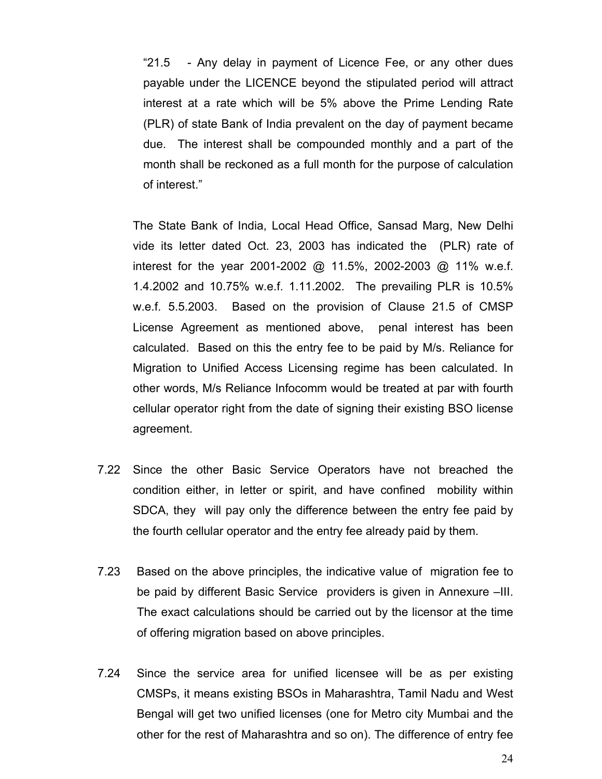"21.5 - Any delay in payment of Licence Fee, or any other dues payable under the LICENCE beyond the stipulated period will attract interest at a rate which will be 5% above the Prime Lending Rate (PLR) of state Bank of India prevalent on the day of payment became due. The interest shall be compounded monthly and a part of the month shall be reckoned as a full month for the purpose of calculation of interest."

The State Bank of India, Local Head Office, Sansad Marg, New Delhi vide its letter dated Oct. 23, 2003 has indicated the (PLR) rate of interest for the year 2001-2002 @ 11.5%, 2002-2003 @ 11% w.e.f. 1.4.2002 and 10.75% w.e.f. 1.11.2002. The prevailing PLR is 10.5% w.e.f. 5.5.2003. Based on the provision of Clause 21.5 of CMSP License Agreement as mentioned above, penal interest has been calculated. Based on this the entry fee to be paid by M/s. Reliance for Migration to Unified Access Licensing regime has been calculated. In other words, M/s Reliance Infocomm would be treated at par with fourth cellular operator right from the date of signing their existing BSO license agreement.

- 7.22 Since the other Basic Service Operators have not breached the condition either, in letter or spirit, and have confined mobility within SDCA, they will pay only the difference between the entry fee paid by the fourth cellular operator and the entry fee already paid by them.
- 7.23 Based on the above principles, the indicative value of migration fee to be paid by different Basic Service providers is given in Annexure –III. The exact calculations should be carried out by the licensor at the time of offering migration based on above principles.
- 7.24 Since the service area for unified licensee will be as per existing CMSPs, it means existing BSOs in Maharashtra, Tamil Nadu and West Bengal will get two unified licenses (one for Metro city Mumbai and the other for the rest of Maharashtra and so on). The difference of entry fee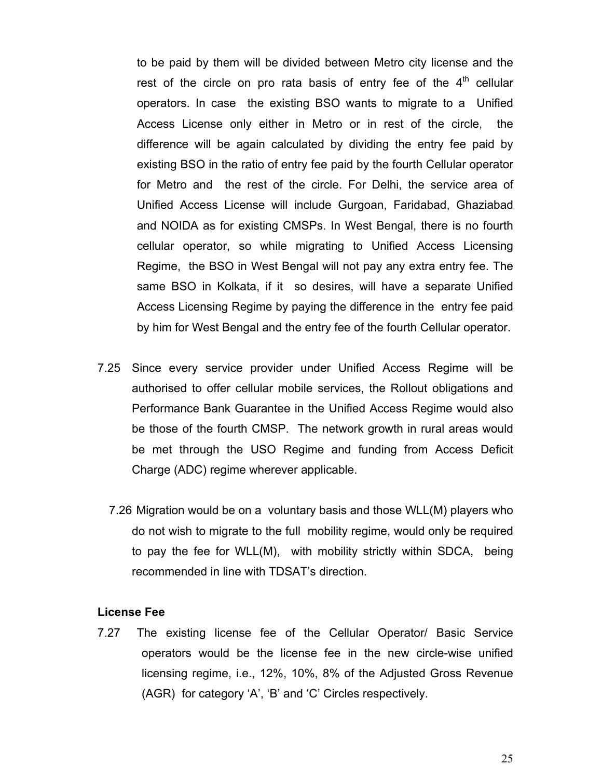to be paid by them will be divided between Metro city license and the rest of the circle on pro rata basis of entry fee of the  $4<sup>th</sup>$  cellular operators. In case the existing BSO wants to migrate to a Unified Access License only either in Metro or in rest of the circle, the difference will be again calculated by dividing the entry fee paid by existing BSO in the ratio of entry fee paid by the fourth Cellular operator for Metro and the rest of the circle. For Delhi, the service area of Unified Access License will include Gurgoan, Faridabad, Ghaziabad and NOIDA as for existing CMSPs. In West Bengal, there is no fourth cellular operator, so while migrating to Unified Access Licensing Regime, the BSO in West Bengal will not pay any extra entry fee. The same BSO in Kolkata, if it so desires, will have a separate Unified Access Licensing Regime by paying the difference in the entry fee paid by him for West Bengal and the entry fee of the fourth Cellular operator.

- 7.25 Since every service provider under Unified Access Regime will be authorised to offer cellular mobile services, the Rollout obligations and Performance Bank Guarantee in the Unified Access Regime would also be those of the fourth CMSP. The network growth in rural areas would be met through the USO Regime and funding from Access Deficit Charge (ADC) regime wherever applicable.
	- 7.26 Migration would be on a voluntary basis and those WLL(M) players who do not wish to migrate to the full mobility regime, would only be required to pay the fee for WLL(M), with mobility strictly within SDCA, being recommended in line with TDSAT's direction.

#### **License Fee**

7.27 The existing license fee of the Cellular Operator/ Basic Service operators would be the license fee in the new circle-wise unified licensing regime, i.e., 12%, 10%, 8% of the Adjusted Gross Revenue (AGR) for category 'A', 'B' and 'C' Circles respectively.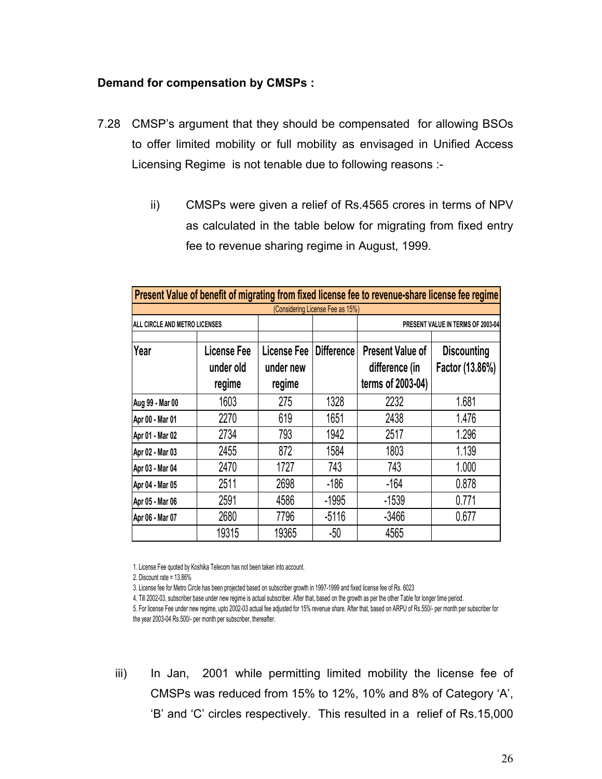## **Demand for compensation by CMSPs :**

- 7.28 CMSP's argument that they should be compensated for allowing BSOs to offer limited mobility or full mobility as envisaged in Unified Access Licensing Regime is not tenable due to following reasons :
	- ii) CMSPs were given a relief of Rs.4565 crores in terms of NPV as calculated in the table below for migrating from fixed entry fee to revenue sharing regime in August, 1999.

|                               |                                    |                                    |                                  | Present Value of benefit of migrating from fixed license fee to revenue-share license fee regime |                                       |  |
|-------------------------------|------------------------------------|------------------------------------|----------------------------------|--------------------------------------------------------------------------------------------------|---------------------------------------|--|
|                               |                                    |                                    | (Considering License Fee as 15%) |                                                                                                  |                                       |  |
| ALL CIRCLE AND METRO LICENSES |                                    |                                    |                                  |                                                                                                  | PRESENT VALUE IN TERMS OF 2003-04     |  |
| Year                          | License Fee<br>under old<br>regime | License Fee<br>under new<br>regime | <b>Difference</b>                | <b>Present Value of</b><br>difference (in<br>terms of 2003-04)                                   | <b>Discounting</b><br>Factor (13.86%) |  |
| Aug 99 - Mar 00               | 1603                               | 275                                | 1328                             | 2232                                                                                             | 1.681                                 |  |
| Apr 00 - Mar 01               | 2270                               | 619                                | 1651                             | 2438                                                                                             | 1.476                                 |  |
| Apr 01 - Mar 02               | 2734                               | 793                                | 1942                             | 2517                                                                                             | 1.296                                 |  |
| Apr 02 - Mar 03               | 2455                               | 872                                | 1584                             | 1803                                                                                             | 1.139                                 |  |
| Apr 03 - Mar 04               | 2470                               | 1727                               | 743                              | 743                                                                                              | 1.000                                 |  |
| Apr 04 - Mar 05               | 2511                               | 2698                               | $-186$                           | $-164$                                                                                           | 0.878                                 |  |
| Apr 05 - Mar 06               | 2591                               | 4586                               | $-1995$                          | $-1539$                                                                                          | 0.771                                 |  |
| Apr 06 - Mar 07               | 2680                               | 7796                               | $-5116$                          | $-3466$                                                                                          | 0.677                                 |  |
|                               | 19315                              | 19365                              | $-50$                            | 4565                                                                                             |                                       |  |

1. License Fee quoted by Koshika Telecom has not been taken into account.

2. Discount rate = 13.86%

3. License fee for Metro Circle has been projected based on subscriber growth in 1997-1999 and fixed license fee of Rs. 6023

4. Till 2002-03, subscriber base under new regime is actual subscriber. After that, based on the growth as per the other Table for longer time period.

5. For license Fee under new regime, upto 2002-03 actual fee adjusted for 15% revenue share. After that, based on ARPU of Rs.550/- per month per subscriber for the year 2003-04 Rs.500/- per month per subscriber, thereafter.

iii) In Jan, 2001 while permitting limited mobility the license fee of CMSPs was reduced from 15% to 12%, 10% and 8% of Category 'A', 'B' and 'C' circles respectively. This resulted in a relief of Rs.15,000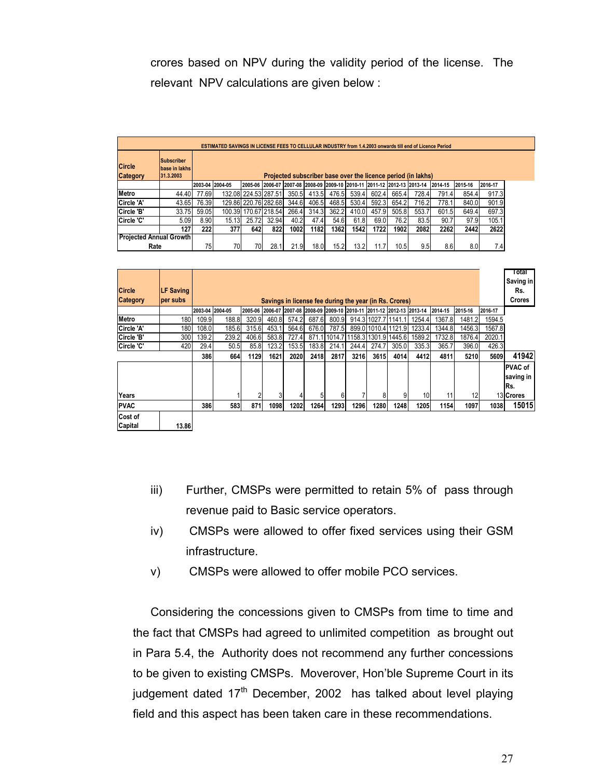crores based on NPV during the validity period of the license. The relevant NPV calculations are given below :

|                           | ESTIMATED SAVINGS IN LICENSE FEES TO CELLULAR INDUSTRY from 1.4.2003 onwards till end of Licence Period |                 |       |                      |       |       |       |       |       |                                                                         |       |                                                              |         |         |         |
|---------------------------|---------------------------------------------------------------------------------------------------------|-----------------|-------|----------------------|-------|-------|-------|-------|-------|-------------------------------------------------------------------------|-------|--------------------------------------------------------------|---------|---------|---------|
| Circle<br><b>Category</b> | <b>Subscriber</b><br><b>Ibase in lakhs</b><br>31.3.2003                                                 |                 |       |                      |       |       |       |       |       |                                                                         |       | Projected subscriber base over the licence period (in lakhs) |         |         |         |
|                           |                                                                                                         | 2003-04 2004-05 |       |                      |       |       |       |       |       | 2005-06 2006-07 2007-08 2008-09 2009-10 2010-11 2011-12 2012-13 2013-14 |       |                                                              | 2014-15 | 2015-16 | 2016-17 |
| <b>IMetro</b>             | 44.40                                                                                                   | 77.69           |       | 132.08 224.53 287.51 |       | 350.5 | 413.5 | 476.5 | 539.4 | 602.4                                                                   | 665.4 | 728.4                                                        | 791.4   | 854.4   | 917.3   |
| <b>ICircle 'A'</b>        | 43.65                                                                                                   | 76.39           |       | 129.86 220.76 282.68 |       | 344.6 | 406.5 | 468.5 | 530.4 | 592.3                                                                   | 654.2 | 716.2                                                        | 778.1   | 840.0   | 901.9   |
| <b>Circle 'B'</b>         | 33.75                                                                                                   | 59.05           |       | 100.39 170.67 218.54 |       | 266.4 | 314.3 | 362.2 | 410.0 | 457.9                                                                   | 505.8 | 553.7                                                        | 601.5   | 649.4   | 697.3   |
| <b>ICircle 'C'</b>        | 5.09                                                                                                    | 8.90            | 15.13 | 25.72                | 32.94 | 40.2  | 47.4  | 54.6  | 61.8  | 69.0                                                                    | 76.2  | 83.5                                                         | 90.7    | 97.9    | 105.1   |
|                           | 127                                                                                                     | 222             | 377   | 642                  | 822   | 1002  | 1182  | 13621 | 1542  | 1722                                                                    | 1902  | 2082                                                         | 2262    | 2442    | 2622    |
|                           | <b>Projected Annual Growth</b>                                                                          |                 |       |                      |       |       |       |       |       |                                                                         |       |                                                              |         |         |         |
| Rate                      |                                                                                                         | 75              | 70    | 70                   | 28.   | 21.9  | 18.0  | 15.2  | 13.2  | 11.7                                                                    | 10.5  | 9.5                                                          | 8.6     | 8.0     | 7.4     |

| <b>Circle</b><br><b>Category</b> | <b>LF Saving</b><br>per subs |       |                 |       |       |       |       |       |       |             | Savings in license fee during the year (in Rs. Crores)                  |        |         |         |         | Total<br>Saving in<br>Rs.<br>Crores |
|----------------------------------|------------------------------|-------|-----------------|-------|-------|-------|-------|-------|-------|-------------|-------------------------------------------------------------------------|--------|---------|---------|---------|-------------------------------------|
|                                  |                              |       | 2003-04 2004-05 |       |       |       |       |       |       |             | 2005-06 2006-07 2007-08 2008-09 2009-10 2010-11 2011-12 2012-13 2013-14 |        | 2014-15 | 2015-16 | 2016-17 |                                     |
| <b>IMetro</b>                    | 180                          | 109.9 | 188.8           | 320.9 | 460.8 | 574.2 | 687.6 | 800.9 |       |             | 914.3 1027.7 1141.1                                                     | 1254.4 | 1367.8  | 1481.2  | 1594.5  |                                     |
| <b>ICircle 'A'</b>               | 1801                         | 108.0 | 185.6           | 315.6 | 453.1 | 564.6 | 676.0 | 787.5 |       |             | 899.0 1010.4 1121.9                                                     | 1233.4 | 1344.8  | 1456.3  | 1567.8  |                                     |
| Circle 'B'                       | 300                          | 139.2 | 239.2           | 406.6 | 583.8 | 727.4 |       |       |       |             | 871.1 1014.7 1158.3 1301.9 1445.6                                       | 1589.2 | 1732.8  | 1876.4  | 2020.1  |                                     |
| Circle 'C'                       | 420                          | 29.4  | 50.5            | 85.8  | 123.2 | 153.5 | 183.8 | 214.1 | 244.4 | 274.7       | 305.0                                                                   | 335.3  | 365.7   | 396.0   | 426.3   |                                     |
|                                  |                              | 386   | 664             | 1129  | 1621  | 2020  | 2418  | 2817  | 3216  | <b>3615</b> | 4014                                                                    | 4412   | 4811    | 5210    | 5609    | 41942                               |
|                                  |                              |       |                 |       |       |       |       |       |       |             |                                                                         |        |         |         |         | <b>PVAC of</b><br>saving in<br>Rs.  |
| Years                            |                              |       |                 | 2     |       |       | 5     | 61    |       | 8           | 9                                                                       | 10     | 11      | 12      |         | 13 Crores                           |
| <b>PVAC</b>                      |                              | 386   | 583             | 871   | 1098  | 1202  | 1264  | 1293  | 1296  | 1280        | 1248                                                                    | 1205   | 1154    | 1097    | 1038    | 15015                               |
| Cost of<br>Capital               | 13.86                        |       |                 |       |       |       |       |       |       |             |                                                                         |        |         |         |         |                                     |

- iii) Further, CMSPs were permitted to retain 5% of pass through revenue paid to Basic service operators.
- iv) CMSPs were allowed to offer fixed services using their GSM infrastructure.
- v) CMSPs were allowed to offer mobile PCO services.

Considering the concessions given to CMSPs from time to time and the fact that CMSPs had agreed to unlimited competition as brought out in Para 5.4, the Authority does not recommend any further concessions to be given to existing CMSPs. Moverover, Hon'ble Supreme Court in its judgement dated  $17<sup>th</sup>$  December, 2002 has talked about level playing field and this aspect has been taken care in these recommendations.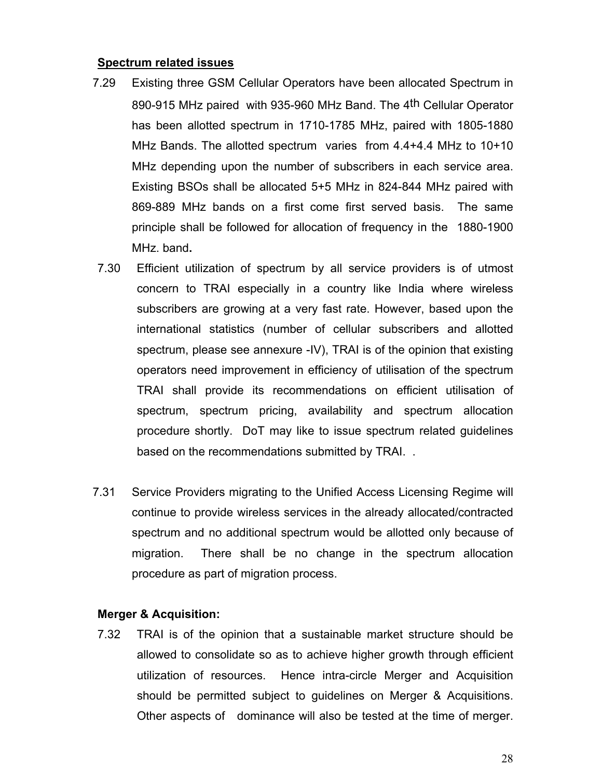#### **Spectrum related issues**

- 7.29 Existing three GSM Cellular Operators have been allocated Spectrum in 890-915 MHz paired with 935-960 MHz Band. The 4th Cellular Operator has been allotted spectrum in 1710-1785 MHz, paired with 1805-1880 MHz Bands. The allotted spectrum varies from 4.4+4.4 MHz to 10+10 MHz depending upon the number of subscribers in each service area. Existing BSOs shall be allocated 5+5 MHz in 824-844 MHz paired with 869-889 MHz bands on a first come first served basis. The same principle shall be followed for allocation of frequency in the 1880-1900 MHz. band**.**
- 7.30 Efficient utilization of spectrum by all service providers is of utmost concern to TRAI especially in a country like India where wireless subscribers are growing at a very fast rate. However, based upon the international statistics (number of cellular subscribers and allotted spectrum, please see annexure -IV), TRAI is of the opinion that existing operators need improvement in efficiency of utilisation of the spectrum TRAI shall provide its recommendations on efficient utilisation of spectrum, spectrum pricing, availability and spectrum allocation procedure shortly. DoT may like to issue spectrum related guidelines based on the recommendations submitted by TRAI. .
- 7.31 Service Providers migrating to the Unified Access Licensing Regime will continue to provide wireless services in the already allocated/contracted spectrum and no additional spectrum would be allotted only because of migration. There shall be no change in the spectrum allocation procedure as part of migration process.

#### **Merger & Acquisition:**

7.32 TRAI is of the opinion that a sustainable market structure should be allowed to consolidate so as to achieve higher growth through efficient utilization of resources. Hence intra-circle Merger and Acquisition should be permitted subject to guidelines on Merger & Acquisitions. Other aspects of dominance will also be tested at the time of merger.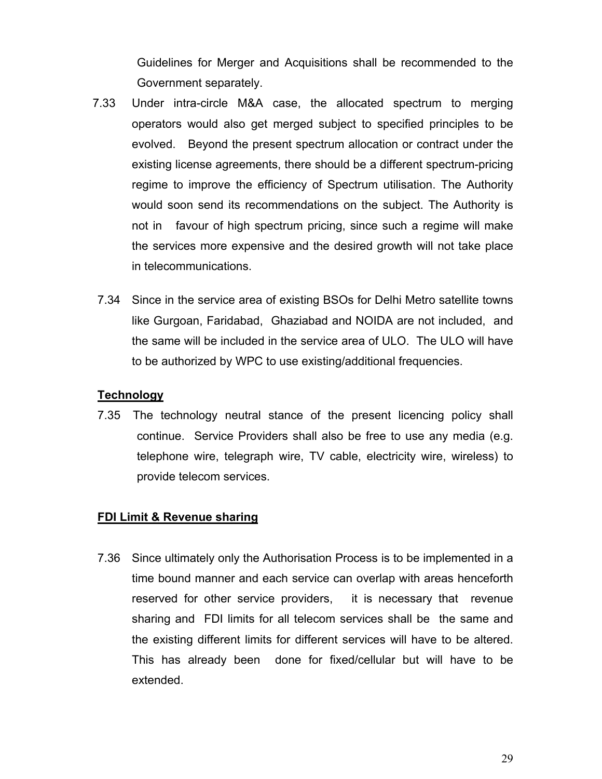Guidelines for Merger and Acquisitions shall be recommended to the Government separately.

- 7.33 Under intra-circle M&A case, the allocated spectrum to merging operators would also get merged subject to specified principles to be evolved. Beyond the present spectrum allocation or contract under the existing license agreements, there should be a different spectrum-pricing regime to improve the efficiency of Spectrum utilisation. The Authority would soon send its recommendations on the subject. The Authority is not in favour of high spectrum pricing, since such a regime will make the services more expensive and the desired growth will not take place in telecommunications.
- 7.34 Since in the service area of existing BSOs for Delhi Metro satellite towns like Gurgoan, Faridabad, Ghaziabad and NOIDA are not included, and the same will be included in the service area of ULO. The ULO will have to be authorized by WPC to use existing/additional frequencies.

## **Technology**

7.35 The technology neutral stance of the present licencing policy shall continue. Service Providers shall also be free to use any media (e.g. telephone wire, telegraph wire, TV cable, electricity wire, wireless) to provide telecom services.

#### **FDI Limit & Revenue sharing**

7.36 Since ultimately only the Authorisation Process is to be implemented in a time bound manner and each service can overlap with areas henceforth reserved for other service providers, it is necessary that revenue sharing and FDI limits for all telecom services shall be the same and the existing different limits for different services will have to be altered. This has already been done for fixed/cellular but will have to be extended.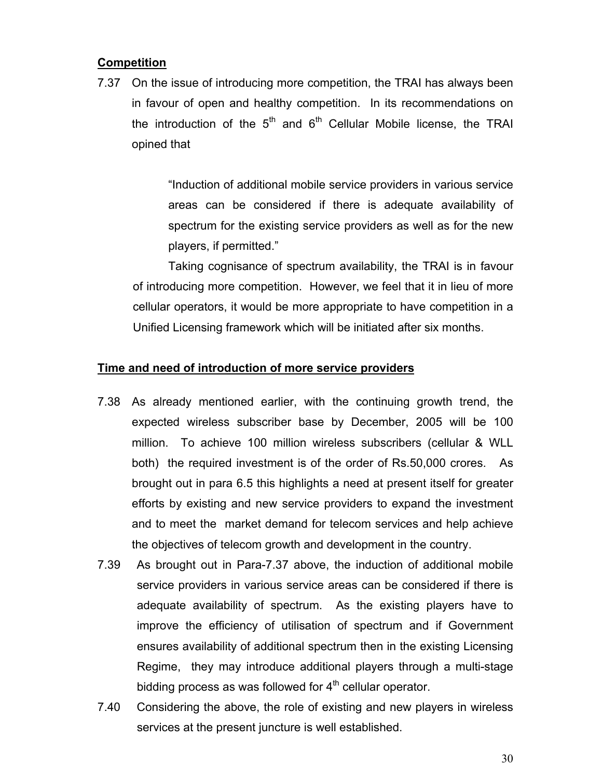## **Competition**

7.37 On the issue of introducing more competition, the TRAI has always been in favour of open and healthy competition. In its recommendations on the introduction of the  $5<sup>th</sup>$  and  $6<sup>th</sup>$  Cellular Mobile license, the TRAI opined that

> "Induction of additional mobile service providers in various service areas can be considered if there is adequate availability of spectrum for the existing service providers as well as for the new players, if permitted."

Taking cognisance of spectrum availability, the TRAI is in favour of introducing more competition. However, we feel that it in lieu of more cellular operators, it would be more appropriate to have competition in a Unified Licensing framework which will be initiated after six months.

## **Time and need of introduction of more service providers**

- 7.38 As already mentioned earlier, with the continuing growth trend, the expected wireless subscriber base by December, 2005 will be 100 million. To achieve 100 million wireless subscribers (cellular & WLL both) the required investment is of the order of Rs.50,000 crores. As brought out in para 6.5 this highlights a need at present itself for greater efforts by existing and new service providers to expand the investment and to meet the market demand for telecom services and help achieve the objectives of telecom growth and development in the country.
- 7.39 As brought out in Para-7.37 above, the induction of additional mobile service providers in various service areas can be considered if there is adequate availability of spectrum. As the existing players have to improve the efficiency of utilisation of spectrum and if Government ensures availability of additional spectrum then in the existing Licensing Regime, they may introduce additional players through a multi-stage bidding process as was followed for  $4<sup>th</sup>$  cellular operator.
- 7.40 Considering the above, the role of existing and new players in wireless services at the present juncture is well established.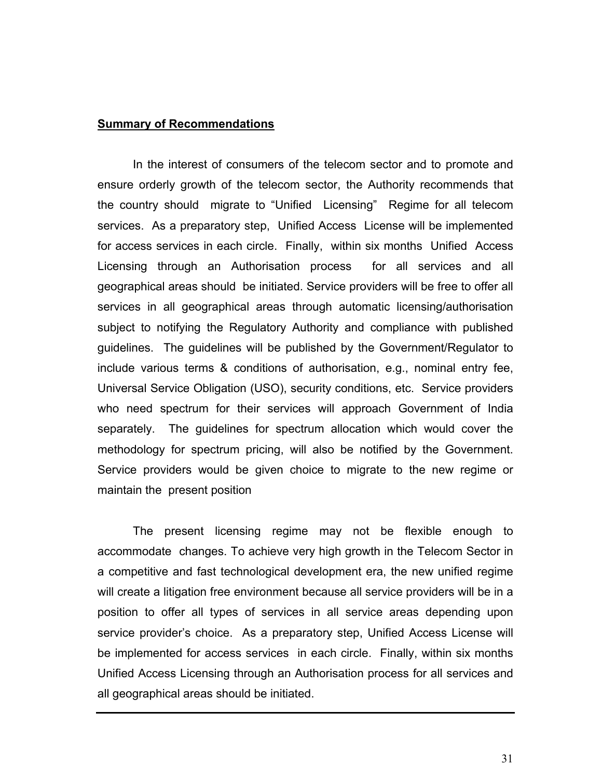#### **Summary of Recommendations**

In the interest of consumers of the telecom sector and to promote and ensure orderly growth of the telecom sector, the Authority recommends that the country should migrate to "Unified Licensing" Regime for all telecom services. As a preparatory step, Unified Access License will be implemented for access services in each circle. Finally, within six months Unified Access Licensing through an Authorisation process for all services and all geographical areas should be initiated. Service providers will be free to offer all services in all geographical areas through automatic licensing/authorisation subject to notifying the Regulatory Authority and compliance with published guidelines. The guidelines will be published by the Government/Regulator to include various terms & conditions of authorisation, e.g., nominal entry fee, Universal Service Obligation (USO), security conditions, etc. Service providers who need spectrum for their services will approach Government of India separately. The guidelines for spectrum allocation which would cover the methodology for spectrum pricing, will also be notified by the Government. Service providers would be given choice to migrate to the new regime or maintain the present position

The present licensing regime may not be flexible enough to accommodate changes. To achieve very high growth in the Telecom Sector in a competitive and fast technological development era, the new unified regime will create a litigation free environment because all service providers will be in a position to offer all types of services in all service areas depending upon service provider's choice. As a preparatory step, Unified Access License will be implemented for access services in each circle. Finally, within six months Unified Access Licensing through an Authorisation process for all services and all geographical areas should be initiated.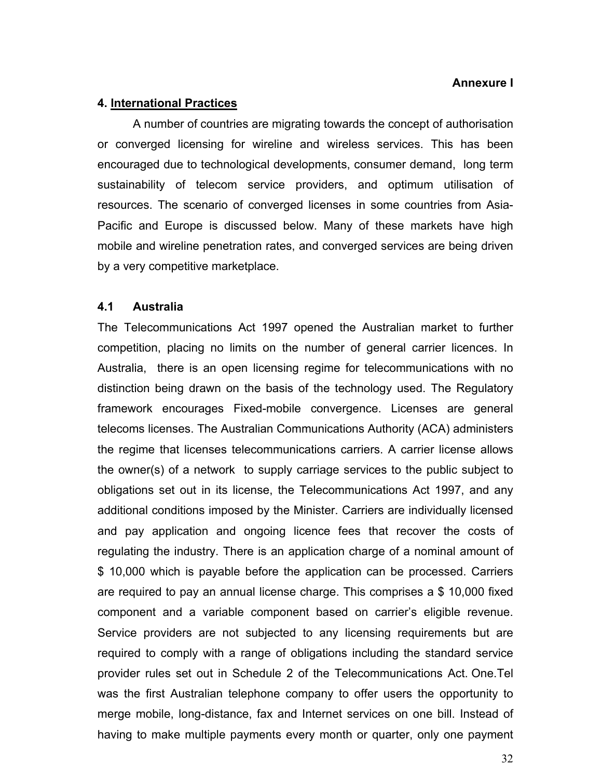### **Annexure I**

### **4. International Practices**

A number of countries are migrating towards the concept of authorisation or converged licensing for wireline and wireless services. This has been encouraged due to technological developments, consumer demand, long term sustainability of telecom service providers, and optimum utilisation of resources. The scenario of converged licenses in some countries from Asia-Pacific and Europe is discussed below. Many of these markets have high mobile and wireline penetration rates, and converged services are being driven by a very competitive marketplace.

## **4.1 Australia**

The Telecommunications Act 1997 opened the Australian market to further competition, placing no limits on the number of general carrier licences. In Australia, there is an open licensing regime for telecommunications with no distinction being drawn on the basis of the technology used. The Regulatory framework encourages Fixed-mobile convergence. Licenses are general telecoms licenses. The Australian Communications Authority (ACA) administers the regime that licenses telecommunications carriers. A carrier license allows the owner(s) of a network to supply carriage services to the public subject to obligations set out in its license, the Telecommunications Act 1997, and any additional conditions imposed by the Minister. Carriers are individually licensed and pay application and ongoing licence fees that recover the costs of regulating the industry. There is an application charge of a nominal amount of \$ 10,000 which is payable before the application can be processed. Carriers are required to pay an annual license charge. This comprises a \$ 10,000 fixed component and a variable component based on carrier's eligible revenue. Service providers are not subjected to any licensing requirements but are required to comply with a range of obligations including the standard service provider rules set out in Schedule 2 of the Telecommunications Act. One.Tel was the first Australian telephone company to offer users the opportunity to merge mobile, long-distance, fax and Internet services on one bill. Instead of having to make multiple payments every month or quarter, only one payment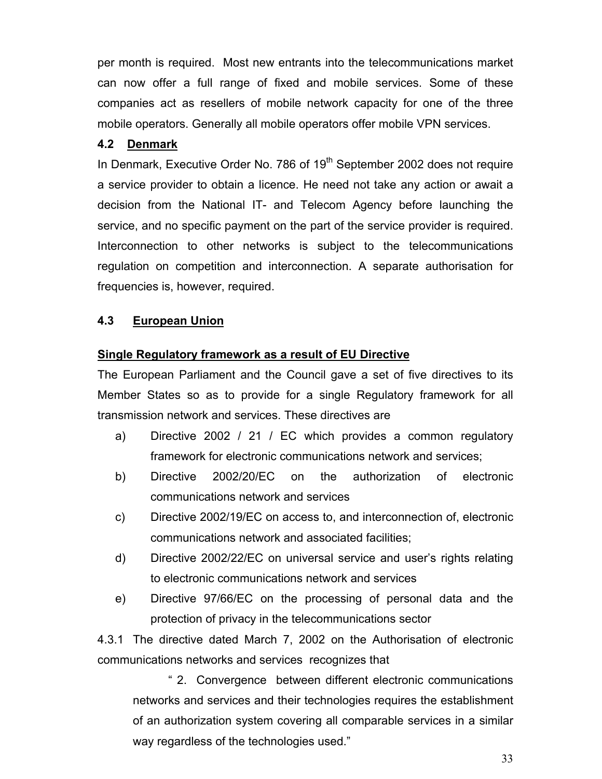per month is required. Most new entrants into the telecommunications market can now offer a full range of fixed and mobile services. Some of these companies act as resellers of mobile network capacity for one of the three mobile operators. Generally all mobile operators offer mobile VPN services.

## **4.2 Denmark**

In Denmark, Executive Order No. 786 of 19<sup>th</sup> September 2002 does not require a service provider to obtain a licence. He need not take any action or await a decision from the National IT- and Telecom Agency before launching the service, and no specific payment on the part of the service provider is required. Interconnection to other networks is subject to the telecommunications regulation on competition and interconnection. A separate authorisation for frequencies is, however, required.

## **4.3 European Union**

## **Single Regulatory framework as a result of EU Directive**

The European Parliament and the Council gave a set of five directives to its Member States so as to provide for a single Regulatory framework for all transmission network and services. These directives are

- a) Directive 2002 / 21 / EC which provides a common regulatory framework for electronic communications network and services;
- b) Directive 2002/20/EC on the authorization of electronic communications network and services
- c) Directive 2002/19/EC on access to, and interconnection of, electronic communications network and associated facilities;
- d) Directive 2002/22/EC on universal service and user's rights relating to electronic communications network and services
- e) Directive 97/66/EC on the processing of personal data and the protection of privacy in the telecommunications sector

4.3.1 The directive dated March 7, 2002 on the Authorisation of electronic communications networks and services recognizes that

" 2. Convergence between different electronic communications networks and services and their technologies requires the establishment of an authorization system covering all comparable services in a similar way regardless of the technologies used."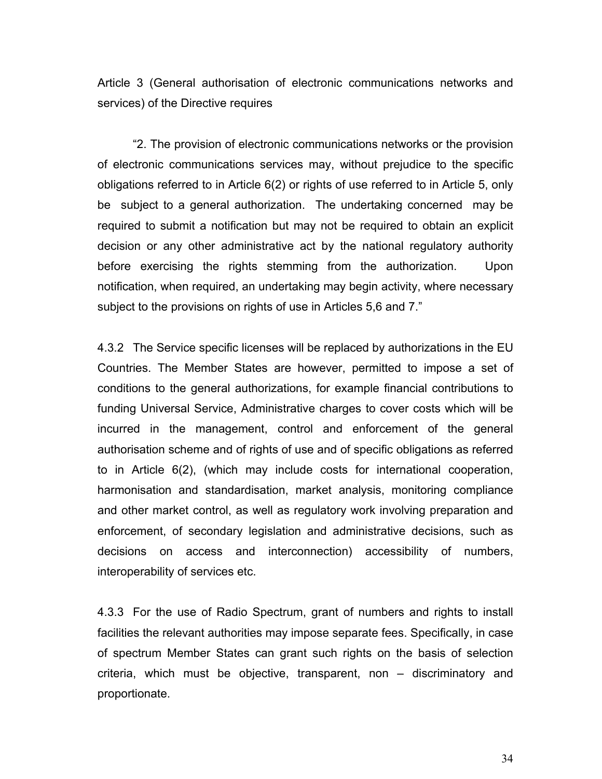Article 3 (General authorisation of electronic communications networks and services) of the Directive requires

"2. The provision of electronic communications networks or the provision of electronic communications services may, without prejudice to the specific obligations referred to in Article 6(2) or rights of use referred to in Article 5, only be subject to a general authorization. The undertaking concerned may be required to submit a notification but may not be required to obtain an explicit decision or any other administrative act by the national regulatory authority before exercising the rights stemming from the authorization. Upon notification, when required, an undertaking may begin activity, where necessary subject to the provisions on rights of use in Articles 5,6 and 7."

4.3.2 The Service specific licenses will be replaced by authorizations in the EU Countries. The Member States are however, permitted to impose a set of conditions to the general authorizations, for example financial contributions to funding Universal Service, Administrative charges to cover costs which will be incurred in the management, control and enforcement of the general authorisation scheme and of rights of use and of specific obligations as referred to in Article 6(2), (which may include costs for international cooperation, harmonisation and standardisation, market analysis, monitoring compliance and other market control, as well as regulatory work involving preparation and enforcement, of secondary legislation and administrative decisions, such as decisions on access and interconnection) accessibility of numbers, interoperability of services etc.

4.3.3 For the use of Radio Spectrum, grant of numbers and rights to install facilities the relevant authorities may impose separate fees. Specifically, in case of spectrum Member States can grant such rights on the basis of selection criteria, which must be objective, transparent, non – discriminatory and proportionate.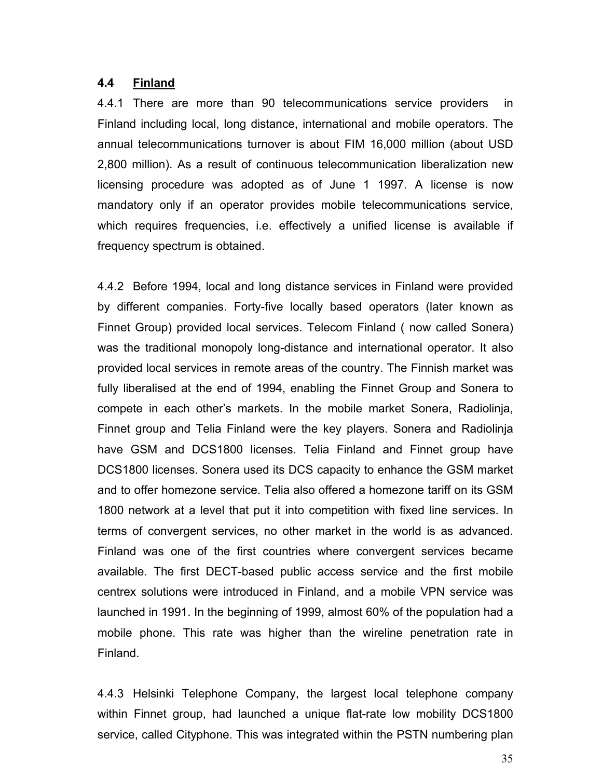## **4.4 Finland**

4.4.1 There are more than 90 telecommunications service providers in Finland including local, long distance, international and mobile operators. The annual telecommunications turnover is about FIM 16,000 million (about USD 2,800 million). As a result of continuous telecommunication liberalization new licensing procedure was adopted as of June 1 1997. A license is now mandatory only if an operator provides mobile telecommunications service, which requires frequencies, i.e. effectively a unified license is available if frequency spectrum is obtained.

4.4.2 Before 1994, local and long distance services in Finland were provided by different companies. Forty-five locally based operators (later known as Finnet Group) provided local services. Telecom Finland ( now called Sonera) was the traditional monopoly long-distance and international operator. It also provided local services in remote areas of the country. The Finnish market was fully liberalised at the end of 1994, enabling the Finnet Group and Sonera to compete in each other's markets. In the mobile market Sonera, Radiolinja, Finnet group and Telia Finland were the key players. Sonera and Radiolinja have GSM and DCS1800 licenses. Telia Finland and Finnet group have DCS1800 licenses. Sonera used its DCS capacity to enhance the GSM market and to offer homezone service. Telia also offered a homezone tariff on its GSM 1800 network at a level that put it into competition with fixed line services. In terms of convergent services, no other market in the world is as advanced. Finland was one of the first countries where convergent services became available. The first DECT-based public access service and the first mobile centrex solutions were introduced in Finland, and a mobile VPN service was launched in 1991. In the beginning of 1999, almost 60% of the population had a mobile phone. This rate was higher than the wireline penetration rate in Finland.

4.4.3 Helsinki Telephone Company, the largest local telephone company within Finnet group, had launched a unique flat-rate low mobility DCS1800 service, called Cityphone. This was integrated within the PSTN numbering plan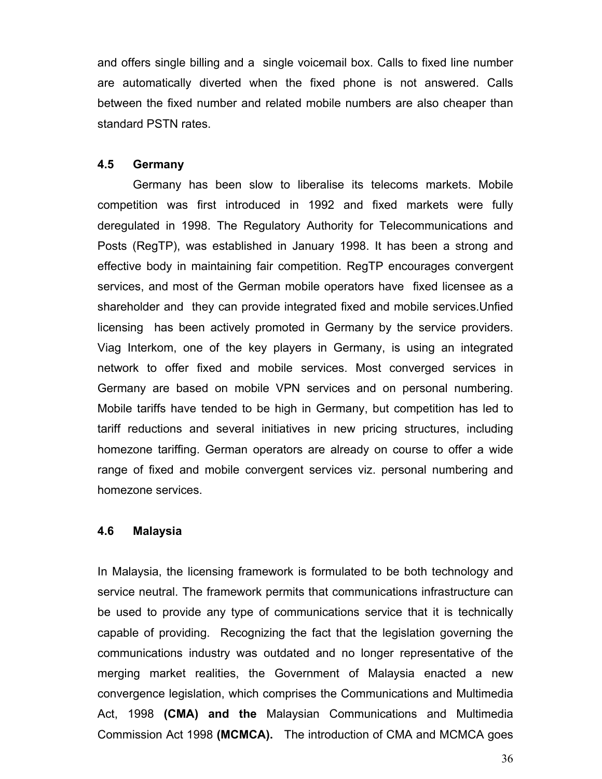and offers single billing and a single voicemail box. Calls to fixed line number are automatically diverted when the fixed phone is not answered. Calls between the fixed number and related mobile numbers are also cheaper than standard PSTN rates.

### **4.5 Germany**

Germany has been slow to liberalise its telecoms markets. Mobile competition was first introduced in 1992 and fixed markets were fully deregulated in 1998. The Regulatory Authority for Telecommunications and Posts (RegTP), was established in January 1998. It has been a strong and effective body in maintaining fair competition. RegTP encourages convergent services, and most of the German mobile operators have fixed licensee as a shareholder and they can provide integrated fixed and mobile services.Unfied licensing has been actively promoted in Germany by the service providers. Viag Interkom, one of the key players in Germany, is using an integrated network to offer fixed and mobile services. Most converged services in Germany are based on mobile VPN services and on personal numbering. Mobile tariffs have tended to be high in Germany, but competition has led to tariff reductions and several initiatives in new pricing structures, including homezone tariffing. German operators are already on course to offer a wide range of fixed and mobile convergent services viz. personal numbering and homezone services.

#### **4.6 Malaysia**

In Malaysia, the licensing framework is formulated to be both technology and service neutral. The framework permits that communications infrastructure can be used to provide any type of communications service that it is technically capable of providing. Recognizing the fact that the legislation governing the communications industry was outdated and no longer representative of the merging market realities, the Government of Malaysia enacted a new convergence legislation, which comprises the Communications and Multimedia Act, 1998 **(CMA) and the** Malaysian Communications and Multimedia Commission Act 1998 **(MCMCA).** The introduction of CMA and MCMCA goes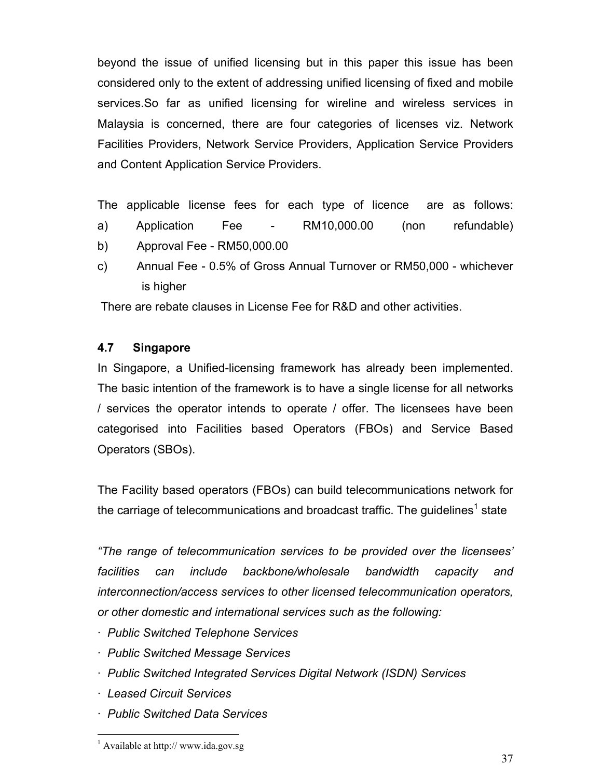beyond the issue of unified licensing but in this paper this issue has been considered only to the extent of addressing unified licensing of fixed and mobile services.So far as unified licensing for wireline and wireless services in Malaysia is concerned, there are four categories of licenses viz. Network Facilities Providers, Network Service Providers, Application Service Providers and Content Application Service Providers.

The applicable license fees for each type of licence are as follows:

- a) Application Fee RM10,000.00 (non refundable)
- b) Approval Fee RM50,000.00
- c) Annual Fee 0.5% of Gross Annual Turnover or RM50,000 whichever is higher

There are rebate clauses in License Fee for R&D and other activities.

## **4.7 Singapore**

In Singapore, a Unified-licensing framework has already been implemented. The basic intention of the framework is to have a single license for all networks / services the operator intends to operate / offer. The licensees have been categorised into Facilities based Operators (FBOs) and Service Based Operators (SBOs).

The Facility based operators (FBOs) can build telecommunications network for the carriage of telecommunications and broadcast traffic. The guidelines<sup>[1](#page-36-0)</sup> state

*"The range of telecommunication services to be provided over the licensees' facilities can include backbone/wholesale bandwidth capacity and interconnection/access services to other licensed telecommunication operators, or other domestic and international services such as the following:* 

- *· Public Switched Telephone Services*
- *· Public Switched Message Services*
- *· Public Switched Integrated Services Digital Network (ISDN) Services*
- *· Leased Circuit Services*
- *· Public Switched Data Services*

<span id="page-36-0"></span><sup>&</sup>lt;sup>1</sup> Available at http:// www.ida.gov.sg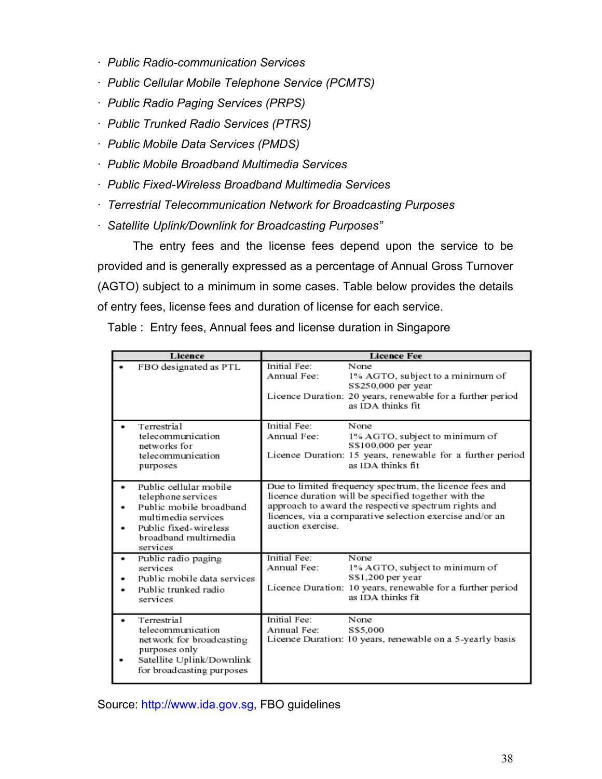- *· Public Radio-communication Services*
- *· Public Cellular Mobile Telephone Service (PCMTS)*
- *· Public Radio Paging Services (PRPS)*
- *· Public Trunked Radio Services (PTRS)*
- *· Public Mobile Data Services (PMDS)*
- *· Public Mobile Broadband Multimedia Services*
- *· Public Fixed-Wireless Broadband Multimedia Services*
- *· Terrestrial Telecommunication Network for Broadcasting Purposes*
- *· Satellite Uplink/Downlink for Broadcasting Purposes"*

The entry fees and the license fees depend upon the service to be provided and is generally expressed as a percentage of Annual Gross Turnover (AGTO) subject to a minimum in some cases. Table below provides the details of entry fees, license fees and duration of license for each service.

|  |  | Table: Entry fees, Annual fees and license duration in Singapore |  |  |  |
|--|--|------------------------------------------------------------------|--|--|--|
|--|--|------------------------------------------------------------------|--|--|--|

| Licence                                                                                                                                                     | <b>Licence Fee</b>                                                                                                                                                                                                                                       |
|-------------------------------------------------------------------------------------------------------------------------------------------------------------|----------------------------------------------------------------------------------------------------------------------------------------------------------------------------------------------------------------------------------------------------------|
| FBO designated as PTL                                                                                                                                       | Initial Fee:<br>None<br>Annual Fee:<br>1% AGTO, subject to a minimum of<br>S\$250,000 per year<br>Licence Duration: 20 years, renewable for a further period<br>as IDA thinks fit.                                                                       |
| Terrestrial<br>telecommunication<br>networks for<br>telecommunication<br>purposes                                                                           | Initial Fee:<br>None<br>Annual Fee:<br>1% AGTO, subject to minimum of<br>S\$100,000 per year<br>Licence Duration: 15 years, renewable for a further period<br>as IDA thinks fit.                                                                         |
| Public cellular mobile<br>telephone services<br>Public mobile broadband<br>multimedia services<br>Public fixed-wireless<br>broadband multimedia<br>services | Due to limited frequency spectrum, the licence fees and<br>licence duration will be specified together with the<br>approach to award the respective spectrum rights and<br>licences, via a comparative selection exercise and/or an<br>auction exercise. |
| Public radio paging<br>٠<br>services<br>Public mobile data services<br>Public trunked radio<br>services                                                     | Initial Fee:<br>None<br>Annual Fee:<br>1% AGTO, subject to minimum of<br>S\$1,200 per year<br>Licence Duration: 10 years, renewable for a further period<br>as IDA thinks fit                                                                            |
| Terrestrial<br>telecommunication<br>network for broadcasting<br>purposes only<br>Satellite Uplink/Downlink<br>for broadcasting purposes                     | Initial Fee:<br>None<br>Annual Fee:<br>S\$5,000<br>Licence Duration: 10 years, renewable on a 5-yearly basis                                                                                                                                             |

Source: [http://www.ida.gov.sg](http://www.ida.gov.sg/), FBO guidelines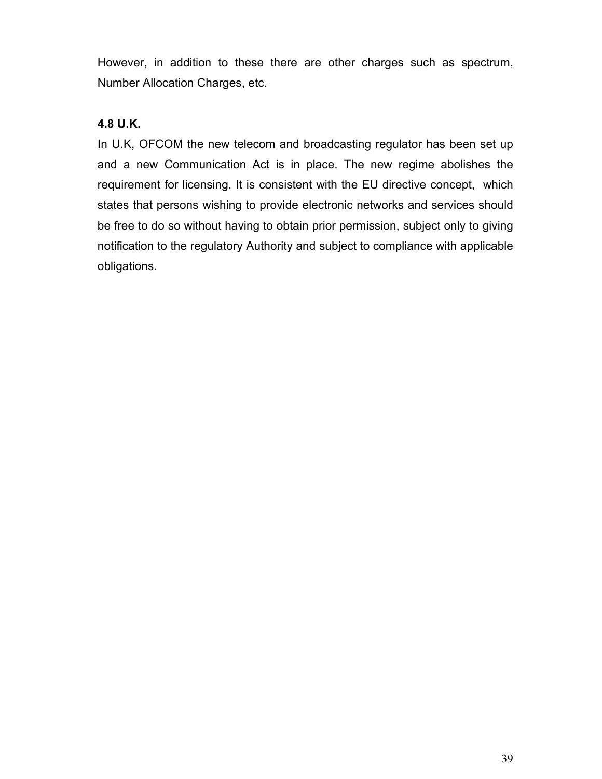However, in addition to these there are other charges such as spectrum, Number Allocation Charges, etc.

## **4.8 U.K.**

In U.K, OFCOM the new telecom and broadcasting regulator has been set up and a new Communication Act is in place. The new regime abolishes the requirement for licensing. It is consistent with the EU directive concept, which states that persons wishing to provide electronic networks and services should be free to do so without having to obtain prior permission, subject only to giving notification to the regulatory Authority and subject to compliance with applicable obligations.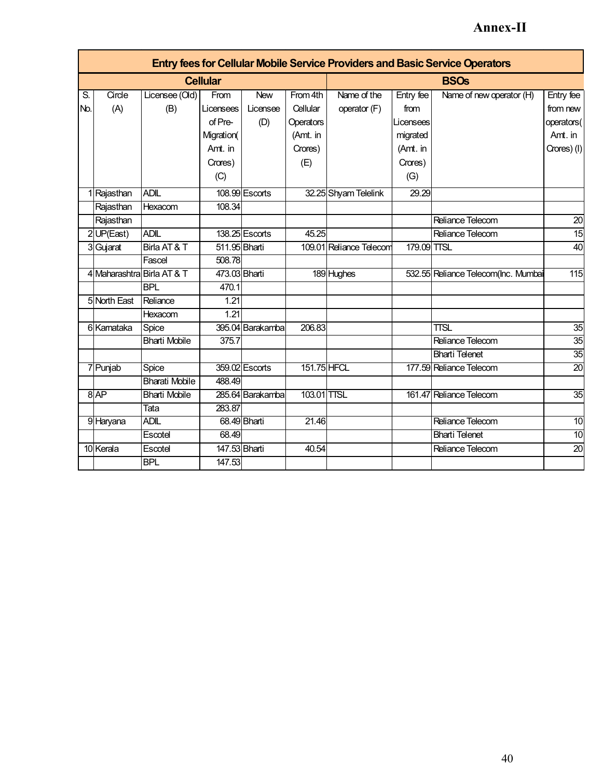# **Annex-II**

|     | <b>Entry fees for Cellular Mobile Service Providers and Basic Service Operators</b> |                       |                 |                  |             |                         |             |                                     |                 |  |  |  |  |  |
|-----|-------------------------------------------------------------------------------------|-----------------------|-----------------|------------------|-------------|-------------------------|-------------|-------------------------------------|-----------------|--|--|--|--|--|
|     |                                                                                     |                       | <b>Cellular</b> |                  |             |                         |             | <b>BSOs</b>                         |                 |  |  |  |  |  |
| S.  | Circle                                                                              | Licensee (Old)        | From            | <b>New</b>       | From 4th    | Name of the             | Entry fee   | Name of new operator (H)            | Entry fee       |  |  |  |  |  |
| No. | (A)                                                                                 | (B)                   | Licensees       | Licensee         | Cellular    | operator (F)            | from        |                                     | from new        |  |  |  |  |  |
|     |                                                                                     |                       | of Pre-         | (D)              | Operators   |                         | Licensees   |                                     | operators(      |  |  |  |  |  |
|     |                                                                                     |                       | Migration(      |                  | (Amt. in    |                         | migrated    |                                     | Amt. in         |  |  |  |  |  |
|     |                                                                                     |                       | Amt. in         |                  | Crores)     |                         | (Amt. in    |                                     | Crores) (I)     |  |  |  |  |  |
|     |                                                                                     |                       | Crores)         |                  | (E)         |                         | Crores)     |                                     |                 |  |  |  |  |  |
|     |                                                                                     |                       | (C)             |                  |             |                         | (G)         |                                     |                 |  |  |  |  |  |
|     | 1 Rajasthan                                                                         | <b>ADIL</b>           |                 | 108.99 Escorts   |             | 32.25 Shyam Telelink    | 29.29       |                                     |                 |  |  |  |  |  |
|     | Rajasthan                                                                           | Hexacom               | 108.34          |                  |             |                         |             |                                     |                 |  |  |  |  |  |
|     | Rajasthan                                                                           |                       |                 |                  |             |                         |             | Reliance Telecom                    | 20              |  |  |  |  |  |
|     | 2 UP(East)                                                                          | <b>ADIL</b>           |                 | 138.25 Escorts   | 45.25       |                         |             | Reliance Telecom                    | $\overline{15}$ |  |  |  |  |  |
|     | 3 Gujarat                                                                           | Birla AT&T            | 511.95 Bharti   |                  |             | 109.01 Reliance Telecom | 179.09 TTSL |                                     | 40              |  |  |  |  |  |
|     |                                                                                     | Fascel                | 508.78          |                  |             |                         |             |                                     |                 |  |  |  |  |  |
|     | 4 Maharashtra Birla AT & T                                                          |                       | 473.03 Bharti   |                  |             | 189 Hughes              |             | 532.55 Reliance Telecom(Inc. Mumbai | 115             |  |  |  |  |  |
|     |                                                                                     | <b>BPL</b>            | 470.1           |                  |             |                         |             |                                     |                 |  |  |  |  |  |
|     | 5 North East                                                                        | Reliance              | 1.21            |                  |             |                         |             |                                     |                 |  |  |  |  |  |
|     |                                                                                     | Hexacom               | 1.21            |                  |             |                         |             |                                     |                 |  |  |  |  |  |
|     | 6 Kamataka                                                                          | Spice                 |                 | 395.04 Barakamba | 206.83      |                         |             | <b>TTSL</b>                         | 35              |  |  |  |  |  |
|     |                                                                                     | <b>Bharti Mobile</b>  | 375.7           |                  |             |                         |             | Reliance Telecom                    | $\overline{35}$ |  |  |  |  |  |
|     |                                                                                     |                       |                 |                  |             |                         |             | <b>Bharti Telenet</b>               | $\overline{35}$ |  |  |  |  |  |
|     | 7 Punjab                                                                            | Spice                 |                 | 359.02 Escorts   | 151.75 HFCL |                         |             | 177.59 Reliance Telecom             | $\overline{20}$ |  |  |  |  |  |
|     |                                                                                     | <b>Bharati Mobile</b> | 488.49          |                  |             |                         |             |                                     |                 |  |  |  |  |  |
|     | 8AP                                                                                 | <b>Bharti Mobile</b>  |                 | 285.64 Barakamba | 103.01 TTSL |                         |             | 161.47 Reliance Telecom             | 35              |  |  |  |  |  |
|     |                                                                                     | Tata                  | 283.87          |                  |             |                         |             |                                     |                 |  |  |  |  |  |
|     | 9 Haryana                                                                           | <b>ADIL</b>           |                 | 68.49 Bharti     | 21.46       |                         |             | Reliance Telecom                    | $\overline{10}$ |  |  |  |  |  |
|     |                                                                                     | Escotel               | 68.49           |                  |             |                         |             | <b>Bharti Telenet</b>               | 10              |  |  |  |  |  |
|     | 10 Kerala                                                                           | Escotel               | 147.53 Bharti   |                  | 40.54       |                         |             | Reliance Telecom                    | $\overline{20}$ |  |  |  |  |  |
|     |                                                                                     | <b>BPL</b>            | 147.53          |                  |             |                         |             |                                     |                 |  |  |  |  |  |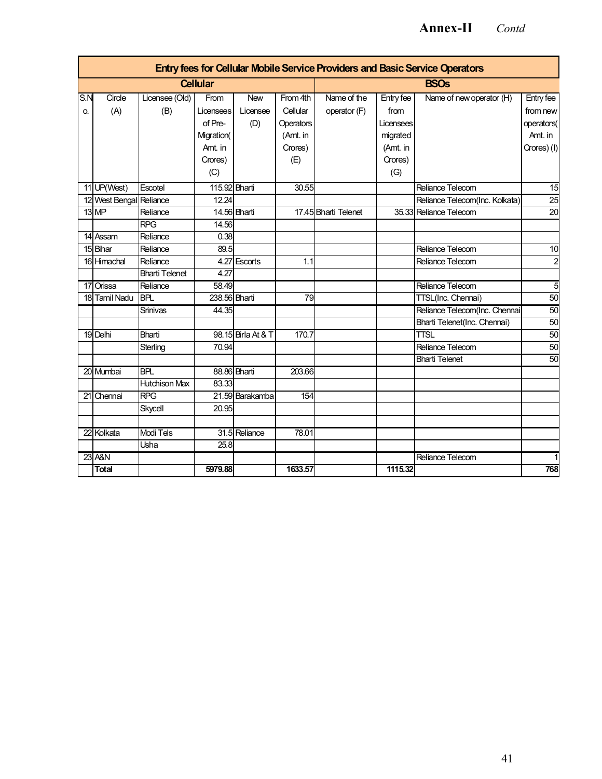## **Annex-II** *Contd*

|     |                         |                       |                 |                    |           |                      |           | Entry fees for Cellular Mobile Service Providers and Basic Service Operators |                 |  |  |  |
|-----|-------------------------|-----------------------|-----------------|--------------------|-----------|----------------------|-----------|------------------------------------------------------------------------------|-----------------|--|--|--|
|     |                         |                       | <b>Cellular</b> |                    |           | <b>BSOs</b>          |           |                                                                              |                 |  |  |  |
| S.N | Circle                  | Licensee (Old)        | From            | <b>New</b>         | From 4th  | Name of the          | Entry fee | Name of new operator (H)                                                     | Entry fee       |  |  |  |
| О.  | (A)                     | (B)                   | Liœnsees        | Licensee           | Cellular  | operator (F)         | from      |                                                                              | from new        |  |  |  |
|     |                         |                       | of Pre-         | (D)                | Operators |                      | Licensees |                                                                              | operators(      |  |  |  |
|     |                         |                       | Migration(      |                    | (Amt. in  |                      | migrated  |                                                                              | Amt. in         |  |  |  |
|     |                         |                       | Amt. in         |                    | Crores)   |                      | (Amt. in  |                                                                              | Crores) (I)     |  |  |  |
|     |                         |                       | Crores)         |                    | (E)       |                      | Crores)   |                                                                              |                 |  |  |  |
|     |                         |                       | (C)             |                    |           |                      | (G)       |                                                                              |                 |  |  |  |
|     | 11 UP(West)             | Escotel               | 115.92 Bharti   |                    | 30.55     |                      |           | <b>Reliance Telecom</b>                                                      | 15              |  |  |  |
|     | 12 West Bengal Reliance |                       | 12.24           |                    |           |                      |           | Reliance Telecom(Inc. Kolkata)                                               | 25              |  |  |  |
|     | 13 MP                   | Reliance              |                 | 14.56 Bharti       |           | 17.45 Bharti Telenet |           | 35.33 Reliance Telecom                                                       | $\overline{20}$ |  |  |  |
|     |                         | <b>RPG</b>            | 14.56           |                    |           |                      |           |                                                                              |                 |  |  |  |
|     | 14 Assam                | Reliance              | 0.38            |                    |           |                      |           |                                                                              |                 |  |  |  |
|     | 15 Bihar                | Reliance              | 89.5            |                    |           |                      |           | Reliance Telecom                                                             | $\overline{10}$ |  |  |  |
|     | 16 Himachal             | Reliance              |                 | 4.27 Escorts       | 1.1       |                      |           | Reliance Telecom                                                             | $\overline{c}$  |  |  |  |
|     |                         | <b>Bharti Telenet</b> | 4.27            |                    |           |                      |           |                                                                              |                 |  |  |  |
|     | 17 Orissa               | Reliance              | 58.49           |                    |           |                      |           | Reliance Telecom                                                             | $\overline{5}$  |  |  |  |
|     | 18 Tamil Nadu           | <b>BPL</b>            | 238.56 Bharti   |                    | 79        |                      |           | TTSL(Inc. Chennai)                                                           | 50              |  |  |  |
|     |                         | Srinivas              | 44.35           |                    |           |                      |           | Reliance Telecom(Inc. Chennai                                                | 50              |  |  |  |
|     |                         |                       |                 |                    |           |                      |           | Bharti Telenet(Inc. Chennai)                                                 | 50              |  |  |  |
|     | 19 Delhi                | Bharti                |                 | 98.15 Birla At & T | 170.7     |                      |           | <b>TTSL</b>                                                                  | 50              |  |  |  |
|     |                         | Sterling              | 70.94           |                    |           |                      |           | Reliance Telecom                                                             | $\overline{50}$ |  |  |  |
|     |                         |                       |                 |                    |           |                      |           | <b>Bharti Telenet</b>                                                        | 50              |  |  |  |
|     | 20 Mumbai               | <b>BPL</b>            |                 | 88.86 Bharti       | 203.66    |                      |           |                                                                              |                 |  |  |  |
|     |                         | <b>Hutchison Max</b>  | 83.33           |                    |           |                      |           |                                                                              |                 |  |  |  |
|     | 21 Chennai              | <b>RPG</b>            |                 | 21.59 Barakamba    | 154       |                      |           |                                                                              |                 |  |  |  |
|     |                         | Skycell               | 20.95           |                    |           |                      |           |                                                                              |                 |  |  |  |
| 22  | Kolkata                 | <b>Modi Tels</b>      |                 | 31.5 Reliance      | 78.01     |                      |           |                                                                              |                 |  |  |  |
|     |                         | Usha                  | 25.8            |                    |           |                      |           |                                                                              |                 |  |  |  |
| 23  | A&N                     |                       |                 |                    |           |                      |           | Reliance Telecom                                                             |                 |  |  |  |
|     | <b>Total</b>            |                       | 5979.88         |                    | 1633.57   |                      | 1115.32   |                                                                              | 768             |  |  |  |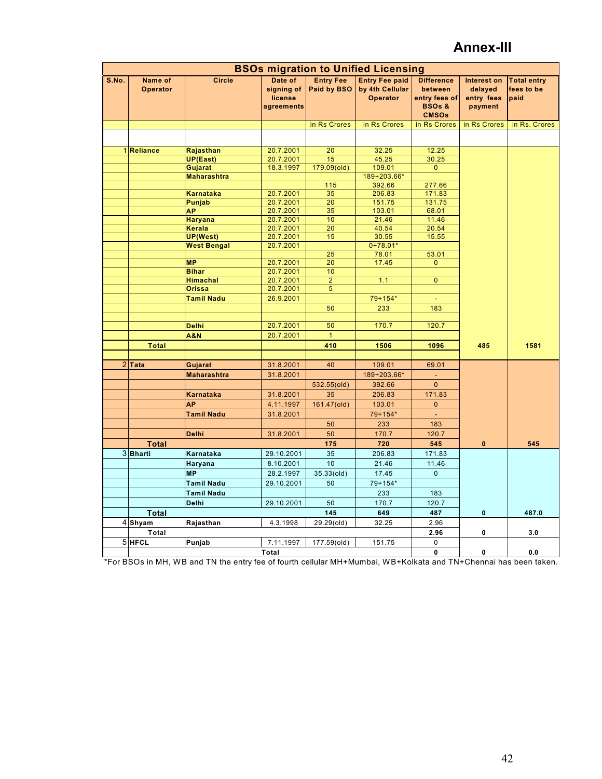## **Annex-III**

|       | <b>BSOs migration to Unified Licensing</b> |                               |                                                |                                 |                                                      |                                                                                    |                                                        |                                          |
|-------|--------------------------------------------|-------------------------------|------------------------------------------------|---------------------------------|------------------------------------------------------|------------------------------------------------------------------------------------|--------------------------------------------------------|------------------------------------------|
| S.No. | Name of<br><b>Operator</b>                 | <b>Circle</b>                 | Date of<br>signing of<br>license<br>agreements | <b>Entry Fee</b><br>Paid by BSO | <b>Entry Fee paid</b><br>by 4th Cellular<br>Operator | <b>Difference</b><br>between<br>entry fees of<br><b>BSOs &amp;</b><br><b>CMSOs</b> | <b>Interest on</b><br>delayed<br>entry fees<br>payment | <b>Total entry</b><br>fees to be<br>paid |
|       |                                            |                               |                                                | in Rs Crores                    | in Rs Crores                                         | in Rs Crores                                                                       | in Rs Crores                                           | in Rs. Crores                            |
|       |                                            |                               |                                                |                                 |                                                      |                                                                                    |                                                        |                                          |
|       | 1 Reliance                                 | Rajasthan                     | 20.7.2001                                      | 20                              | 32.25                                                | 12.25                                                                              |                                                        |                                          |
|       |                                            | UP(East)                      | 20.7.2001                                      | 15                              | 45.25                                                | 30.25                                                                              |                                                        |                                          |
|       |                                            | Gujarat                       | 18.3.1997                                      | 179.09(old)                     | 109.01                                               | $\overline{0}$                                                                     |                                                        |                                          |
|       |                                            | <b>Maharashtra</b>            |                                                |                                 | 189+203.66*                                          |                                                                                    |                                                        |                                          |
|       |                                            |                               |                                                | 115                             | 392.66                                               | 277.66                                                                             |                                                        |                                          |
|       |                                            | Karnataka                     | 20.7.2001                                      | 35                              | 206.83                                               | 171.83                                                                             |                                                        |                                          |
|       |                                            | Punjab                        | 20.7.2001                                      | $\overline{20}$                 | 151.75                                               | 131.75                                                                             |                                                        |                                          |
|       |                                            | <b>AP</b>                     | 20.7.2001                                      | 35<br>10                        | 103.01<br>21.46                                      | 68.01                                                                              |                                                        |                                          |
|       |                                            | <b>Haryana</b><br>Kerala      | 20.7.2001<br>20.7.2001                         | $\overline{20}$                 | 40.54                                                | 11.46<br>20.54                                                                     |                                                        |                                          |
|       |                                            | <b>UP(West)</b>               | 20.7.2001                                      | 15                              | 30.55                                                | 15.55                                                                              |                                                        |                                          |
|       |                                            | <b>West Bengal</b>            | 20.7.2001                                      |                                 | $0+78.01*$                                           |                                                                                    |                                                        |                                          |
|       |                                            |                               |                                                | 25                              | 78.01                                                | 53.01                                                                              |                                                        |                                          |
|       |                                            | <b>MP</b>                     | 20.7.2001                                      | $\overline{20}$                 | 17.45                                                | $\overline{0}$                                                                     |                                                        |                                          |
|       |                                            | <b>Bihar</b>                  | 20.7.2001                                      | 10                              |                                                      |                                                                                    |                                                        |                                          |
|       |                                            | <b>Himachal</b>               | 20.7.2001                                      | $\overline{2}$                  | 1.1                                                  | $\overline{0}$                                                                     |                                                        |                                          |
|       |                                            | <b>Orissa</b>                 | 20.7.2001                                      | $\sqrt{5}$                      |                                                      |                                                                                    |                                                        |                                          |
|       |                                            | <b>Tamil Nadu</b>             | 26.9.2001                                      |                                 | 79+154*                                              |                                                                                    |                                                        |                                          |
|       |                                            |                               |                                                | 50                              | 233                                                  | 183                                                                                |                                                        |                                          |
|       |                                            |                               |                                                |                                 |                                                      |                                                                                    |                                                        |                                          |
|       |                                            | <b>Delhi</b>                  | 20.7.2001                                      | 50                              | 170.7                                                | 120.7                                                                              |                                                        |                                          |
|       |                                            | <b>A&amp;N</b>                | 20.7.2001                                      | $\mathbf{1}$                    |                                                      |                                                                                    |                                                        |                                          |
|       | <b>Total</b>                               |                               |                                                | 410                             | 1506                                                 | 1096                                                                               | 485                                                    | 1581                                     |
|       | $2$ Tata                                   |                               | 31.8.2001                                      | 40                              | 109.01                                               | 69.01                                                                              |                                                        |                                          |
|       |                                            | Gujarat<br><b>Maharashtra</b> | 31.8.2001                                      |                                 | 189+203.66*                                          | $\Box$                                                                             |                                                        |                                          |
|       |                                            |                               |                                                |                                 |                                                      |                                                                                    |                                                        |                                          |
|       |                                            |                               |                                                | 532.55(old)                     | 392.66                                               | $\mathbf{0}$                                                                       |                                                        |                                          |
|       |                                            | Karnataka                     | 31.8.2001                                      | 35                              | 206.83                                               | 171.83                                                                             |                                                        |                                          |
|       |                                            | <b>AP</b>                     | 4.11.1997                                      | 161.47(old)                     | 103.01                                               | $\mathbf{0}$                                                                       |                                                        |                                          |
|       |                                            | <b>Tamil Nadu</b>             | 31.8.2001                                      |                                 | 79+154*                                              | ÷,                                                                                 |                                                        |                                          |
|       |                                            |                               |                                                | 50                              | 233                                                  | 183                                                                                |                                                        |                                          |
|       |                                            | <b>Delhi</b>                  | 31.8.2001                                      | 50                              | 170.7                                                | 120.7                                                                              |                                                        |                                          |
|       | <b>Total</b>                               |                               |                                                | 175                             | 720                                                  | 545                                                                                | $\bf{0}$                                               | 545                                      |
|       | 3Bharti                                    | Karnataka                     | 29.10.2001                                     | 35                              | 206.83                                               | 171.83                                                                             |                                                        |                                          |
|       |                                            | Haryana                       | 8.10.2001                                      | 10                              | 21.46                                                | 11.46                                                                              |                                                        |                                          |
|       |                                            | <b>MP</b>                     | 28.2.1997                                      | 35.33(old)                      | 17.45                                                | $\mathbf 0$                                                                        |                                                        |                                          |
|       |                                            | <b>Tamil Nadu</b>             | 29.10.2001                                     | 50                              | 79+154*                                              |                                                                                    |                                                        |                                          |
|       |                                            | <b>Tamil Nadu</b>             |                                                |                                 | 233                                                  | 183                                                                                |                                                        |                                          |
|       |                                            | <b>Delhi</b>                  | 29.10.2001                                     | 50                              | 170.7                                                | 120.7                                                                              |                                                        |                                          |
|       | <b>Total</b>                               |                               |                                                | 145                             | 649                                                  | 487                                                                                | 0                                                      | 487.0                                    |
|       | 4 Shyam                                    | Rajasthan                     | 4.3.1998                                       | 29.29(old)                      | 32.25                                                | 2.96                                                                               |                                                        |                                          |
|       | Total                                      |                               |                                                |                                 |                                                      | 2.96                                                                               | 0                                                      | 3.0                                      |
|       | 5 HFCL                                     | Punjab                        | 7.11.1997                                      | 177.59(old)                     | 151.75                                               | $\mathbf 0$                                                                        |                                                        |                                          |
|       |                                            |                               | Total                                          |                                 |                                                      | 0                                                                                  | 0                                                      | 0.0                                      |

\*For BSOs in MH, WB and TN the entry fee of fourth cellular MH+Mumbai, WB+Kolkata and TN+Chennai has been taken.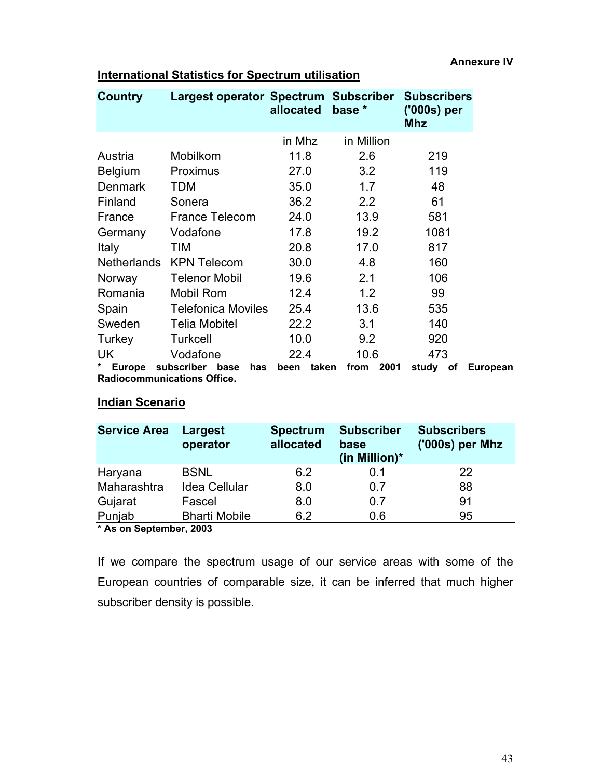|                       | allocated                          | base *                              | <b>Subscribers</b><br>('000s) per<br><b>Mhz</b>                            |
|-----------------------|------------------------------------|-------------------------------------|----------------------------------------------------------------------------|
|                       | in Mhz                             | in Million                          |                                                                            |
| Mobilkom              | 11.8                               | 2.6                                 | 219                                                                        |
| Proximus              | 27.0                               | 3.2                                 | 119                                                                        |
| TDM                   | 35.0                               | 1.7                                 | 48                                                                         |
| Sonera                | 36.2                               | 2.2                                 | 61                                                                         |
| <b>France Telecom</b> | 24.0                               | 13.9                                | 581                                                                        |
| Vodafone              | 17.8                               | 19.2                                | 1081                                                                       |
| TIM                   | 20.8                               | 17.0                                | 817                                                                        |
| <b>KPN Telecom</b>    | 30.0                               | 4.8                                 | 160                                                                        |
| <b>Telenor Mobil</b>  | 19.6                               | 2.1                                 | 106                                                                        |
| <b>Mobil Rom</b>      | 12.4                               | 1.2                                 | 99                                                                         |
|                       | 25.4                               | 13.6                                | 535                                                                        |
| <b>Telia Mobitel</b>  | 22.2                               | 3.1                                 | 140                                                                        |
| <b>Turkcell</b>       | 10.0                               | 9.2                                 | 920                                                                        |
| Vodafone              | 22.4                               | 10.6                                | 473                                                                        |
|                       | Europa aukaarihar<br>- - -<br>مممط | <b>Telefonica Moviles</b><br>عتممنا | Largest operator Spectrum Subscriber<br><b>nnna</b><br>talzan<br>$f_{max}$ |

## **International Statistics for Spectrum utilisation**

**\* Europe subscriber base has been taken from 2001 study of European Radiocommunications Office.** 

## **Indian Scenario**

| <b>Service Area</b>                                  | Largest<br>operator          | <b>Spectrum</b><br>allocated | <b>Subscriber</b><br>base<br>(in Million)* | <b>Subscribers</b><br>('000s) per Mhz |
|------------------------------------------------------|------------------------------|------------------------------|--------------------------------------------|---------------------------------------|
| Haryana                                              | <b>BSNL</b>                  | 6.2                          | 0.1                                        | 22                                    |
| Maharashtra                                          | <b>Idea Cellular</b>         | 8.0                          | 0.7                                        | 88                                    |
| Gujarat                                              | Fascel                       | 8.0                          | 0.7                                        | 91                                    |
| Punjab<br>$\mathbf{r}$ , and the set of $\mathbf{r}$ | <b>Bharti Mobile</b><br>---- | 6.2                          | 0.6                                        | 95                                    |

**\* As on September, 2003** 

If we compare the spectrum usage of our service areas with some of the European countries of comparable size, it can be inferred that much higher subscriber density is possible.